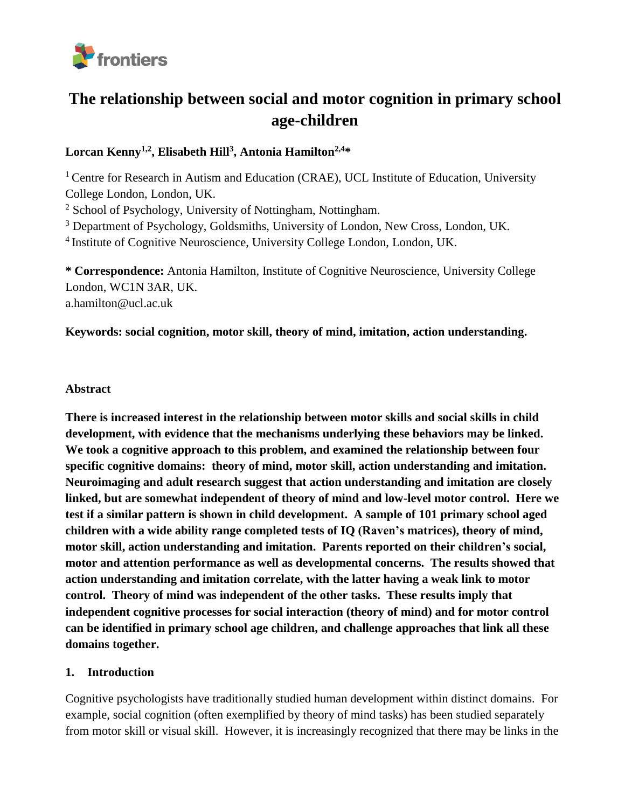

# **The relationship between social and motor cognition in primary school age-children**

# **Lorcan Kenny1,2 , Elisabeth Hill<sup>3</sup> , Antonia Hamilton2,4\***

<sup>1</sup> Centre for Research in Autism and Education (CRAE), UCL Institute of Education, University College London, London, UK.

<sup>2</sup> School of Psychology, University of Nottingham, Nottingham.

<sup>3</sup> Department of Psychology, Goldsmiths, University of London, New Cross, London, UK.

<sup>4</sup> Institute of Cognitive Neuroscience, University College London, London, UK.

**\* Correspondence:** Antonia Hamilton, Institute of Cognitive Neuroscience, University College London, WC1N 3AR, UK. a.hamilton@ucl.ac.uk

## **Keywords: social cognition, motor skill, theory of mind, imitation, action understanding.**

## **Abstract**

**There is increased interest in the relationship between motor skills and social skills in child development, with evidence that the mechanisms underlying these behaviors may be linked. We took a cognitive approach to this problem, and examined the relationship between four specific cognitive domains: theory of mind, motor skill, action understanding and imitation. Neuroimaging and adult research suggest that action understanding and imitation are closely linked, but are somewhat independent of theory of mind and low-level motor control. Here we test if a similar pattern is shown in child development. A sample of 101 primary school aged children with a wide ability range completed tests of IQ (Raven's matrices), theory of mind, motor skill, action understanding and imitation. Parents reported on their children's social, motor and attention performance as well as developmental concerns. The results showed that action understanding and imitation correlate, with the latter having a weak link to motor control. Theory of mind was independent of the other tasks. These results imply that independent cognitive processes for social interaction (theory of mind) and for motor control can be identified in primary school age children, and challenge approaches that link all these domains together.**

# **1. Introduction**

Cognitive psychologists have traditionally studied human development within distinct domains. For example, social cognition (often exemplified by theory of mind tasks) has been studied separately from motor skill or visual skill. However, it is increasingly recognized that there may be links in the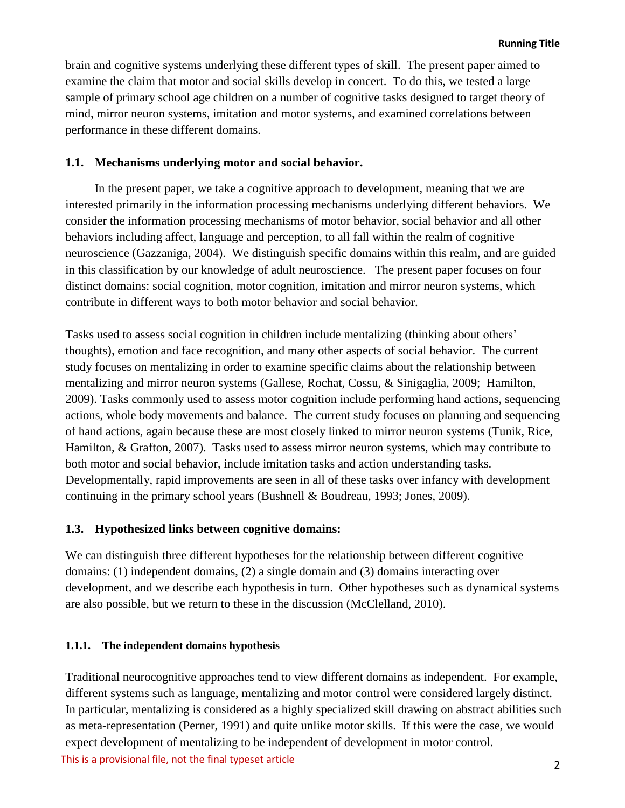brain and cognitive systems underlying these different types of skill. The present paper aimed to examine the claim that motor and social skills develop in concert. To do this, we tested a large sample of primary school age children on a number of cognitive tasks designed to target theory of mind, mirror neuron systems, imitation and motor systems, and examined correlations between performance in these different domains.

## **1.1. Mechanisms underlying motor and social behavior.**

In the present paper, we take a cognitive approach to development, meaning that we are interested primarily in the information processing mechanisms underlying different behaviors. We consider the information processing mechanisms of motor behavior, social behavior and all other behaviors including affect, language and perception, to all fall within the realm of cognitive neuroscience (Gazzaniga, 2004). We distinguish specific domains within this realm, and are guided in this classification by our knowledge of adult neuroscience. The present paper focuses on four distinct domains: social cognition, motor cognition, imitation and mirror neuron systems, which contribute in different ways to both motor behavior and social behavior.

Tasks used to assess social cognition in children include mentalizing (thinking about others' thoughts), emotion and face recognition, and many other aspects of social behavior. The current study focuses on mentalizing in order to examine specific claims about the relationship between mentalizing and mirror neuron systems (Gallese, Rochat, Cossu, & Sinigaglia, 2009; Hamilton, 2009). Tasks commonly used to assess motor cognition include performing hand actions, sequencing actions, whole body movements and balance. The current study focuses on planning and sequencing of hand actions, again because these are most closely linked to mirror neuron systems (Tunik, Rice, Hamilton, & Grafton, 2007). Tasks used to assess mirror neuron systems, which may contribute to both motor and social behavior, include imitation tasks and action understanding tasks. Developmentally, rapid improvements are seen in all of these tasks over infancy with development continuing in the primary school years (Bushnell & Boudreau, 1993; Jones, 2009).

#### **1.3. Hypothesized links between cognitive domains:**

We can distinguish three different hypotheses for the relationship between different cognitive domains: (1) independent domains, (2) a single domain and (3) domains interacting over development, and we describe each hypothesis in turn. Other hypotheses such as dynamical systems are also possible, but we return to these in the discussion (McClelland, 2010).

#### **1.1.1. The independent domains hypothesis**

Traditional neurocognitive approaches tend to view different domains as independent. For example, different systems such as language, mentalizing and motor control were considered largely distinct. In particular, mentalizing is considered as a highly specialized skill drawing on abstract abilities such as meta-representation (Perner, 1991) and quite unlike motor skills. If this were the case, we would expect development of mentalizing to be independent of development in motor control.

This is a provisional file, not the final typeset article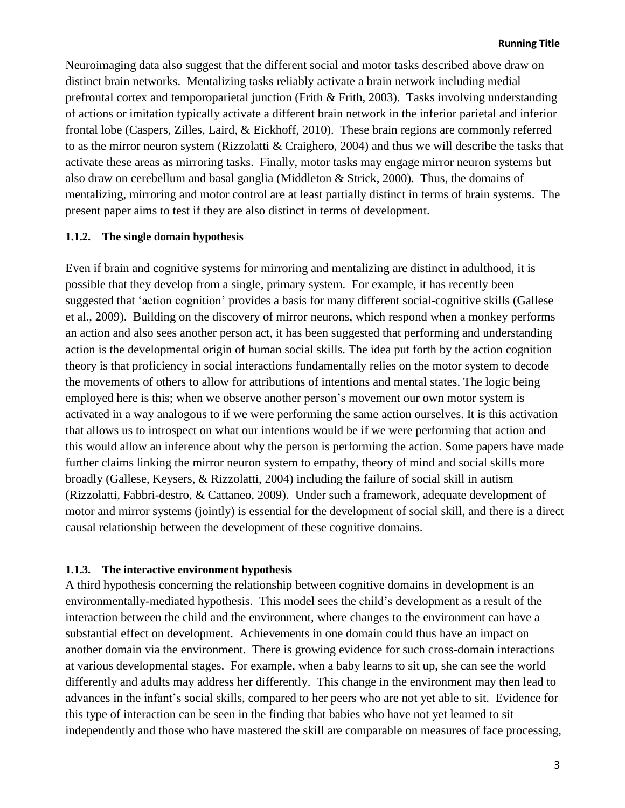Neuroimaging data also suggest that the different social and motor tasks described above draw on distinct brain networks. Mentalizing tasks reliably activate a brain network including medial prefrontal cortex and temporoparietal junction (Frith & Frith, 2003). Tasks involving understanding of actions or imitation typically activate a different brain network in the inferior parietal and inferior frontal lobe (Caspers, Zilles, Laird, & Eickhoff, 2010). These brain regions are commonly referred to as the mirror neuron system (Rizzolatti & Craighero, 2004) and thus we will describe the tasks that activate these areas as mirroring tasks. Finally, motor tasks may engage mirror neuron systems but also draw on cerebellum and basal ganglia (Middleton & Strick, 2000). Thus, the domains of mentalizing, mirroring and motor control are at least partially distinct in terms of brain systems. The present paper aims to test if they are also distinct in terms of development.

#### **1.1.2. The single domain hypothesis**

Even if brain and cognitive systems for mirroring and mentalizing are distinct in adulthood, it is possible that they develop from a single, primary system. For example, it has recently been suggested that 'action cognition' provides a basis for many different social-cognitive skills (Gallese et al., 2009). Building on the discovery of mirror neurons, which respond when a monkey performs an action and also sees another person act, it has been suggested that performing and understanding action is the developmental origin of human social skills. The idea put forth by the action cognition theory is that proficiency in social interactions fundamentally relies on the motor system to decode the movements of others to allow for attributions of intentions and mental states. The logic being employed here is this; when we observe another person's movement our own motor system is activated in a way analogous to if we were performing the same action ourselves. It is this activation that allows us to introspect on what our intentions would be if we were performing that action and this would allow an inference about why the person is performing the action. Some papers have made further claims linking the mirror neuron system to empathy, theory of mind and social skills more broadly (Gallese, Keysers, & Rizzolatti, 2004) including the failure of social skill in autism (Rizzolatti, Fabbri-destro, & Cattaneo, 2009). Under such a framework, adequate development of motor and mirror systems (jointly) is essential for the development of social skill, and there is a direct causal relationship between the development of these cognitive domains.

## **1.1.3. The interactive environment hypothesis**

A third hypothesis concerning the relationship between cognitive domains in development is an environmentally-mediated hypothesis. This model sees the child's development as a result of the interaction between the child and the environment, where changes to the environment can have a substantial effect on development. Achievements in one domain could thus have an impact on another domain via the environment. There is growing evidence for such cross-domain interactions at various developmental stages. For example, when a baby learns to sit up, she can see the world differently and adults may address her differently. This change in the environment may then lead to advances in the infant's social skills, compared to her peers who are not yet able to sit. Evidence for this type of interaction can be seen in the finding that babies who have not yet learned to sit independently and those who have mastered the skill are comparable on measures of face processing,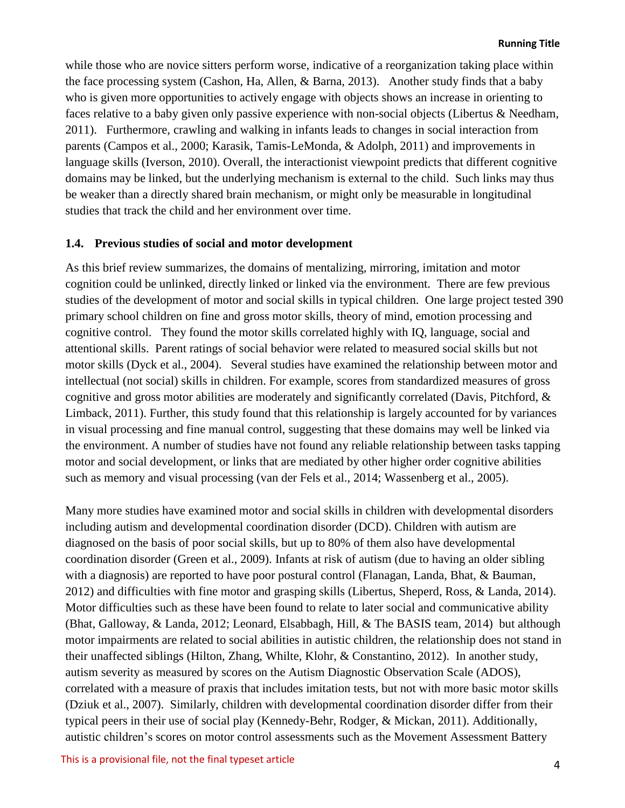while those who are novice sitters perform worse, indicative of a reorganization taking place within the face processing system (Cashon, Ha, Allen, & Barna, 2013). Another study finds that a baby who is given more opportunities to actively engage with objects shows an increase in orienting to faces relative to a baby given only passive experience with non-social objects (Libertus & Needham, 2011). Furthermore, crawling and walking in infants leads to changes in social interaction from parents (Campos et al., 2000; Karasik, Tamis-LeMonda, & Adolph, 2011) and improvements in language skills (Iverson, 2010). Overall, the interactionist viewpoint predicts that different cognitive domains may be linked, but the underlying mechanism is external to the child. Such links may thus be weaker than a directly shared brain mechanism, or might only be measurable in longitudinal studies that track the child and her environment over time.

## **1.4. Previous studies of social and motor development**

As this brief review summarizes, the domains of mentalizing, mirroring, imitation and motor cognition could be unlinked, directly linked or linked via the environment. There are few previous studies of the development of motor and social skills in typical children. One large project tested 390 primary school children on fine and gross motor skills, theory of mind, emotion processing and cognitive control. They found the motor skills correlated highly with IQ, language, social and attentional skills. Parent ratings of social behavior were related to measured social skills but not motor skills (Dyck et al., 2004). Several studies have examined the relationship between motor and intellectual (not social) skills in children. For example, scores from standardized measures of gross cognitive and gross motor abilities are moderately and significantly correlated (Davis, Pitchford, & Limback, 2011). Further, this study found that this relationship is largely accounted for by variances in visual processing and fine manual control, suggesting that these domains may well be linked via the environment. A number of studies have not found any reliable relationship between tasks tapping motor and social development, or links that are mediated by other higher order cognitive abilities such as memory and visual processing (van der Fels et al., 2014; Wassenberg et al., 2005).

Many more studies have examined motor and social skills in children with developmental disorders including autism and developmental coordination disorder (DCD). Children with autism are diagnosed on the basis of poor social skills, but up to 80% of them also have developmental coordination disorder (Green et al., 2009). Infants at risk of autism (due to having an older sibling with a diagnosis) are reported to have poor postural control (Flanagan, Landa, Bhat, & Bauman, 2012) and difficulties with fine motor and grasping skills (Libertus, Sheperd, Ross, & Landa, 2014). Motor difficulties such as these have been found to relate to later social and communicative ability (Bhat, Galloway, & Landa, 2012; Leonard, Elsabbagh, Hill, & The BASIS team, 2014) but although motor impairments are related to social abilities in autistic children, the relationship does not stand in their unaffected siblings (Hilton, Zhang, Whilte, Klohr, & Constantino, 2012). In another study, autism severity as measured by scores on the Autism Diagnostic Observation Scale (ADOS), correlated with a measure of praxis that includes imitation tests, but not with more basic motor skills (Dziuk et al., 2007). Similarly, children with developmental coordination disorder differ from their typical peers in their use of social play (Kennedy-Behr, Rodger, & Mickan, 2011). Additionally, autistic children's scores on motor control assessments such as the Movement Assessment Battery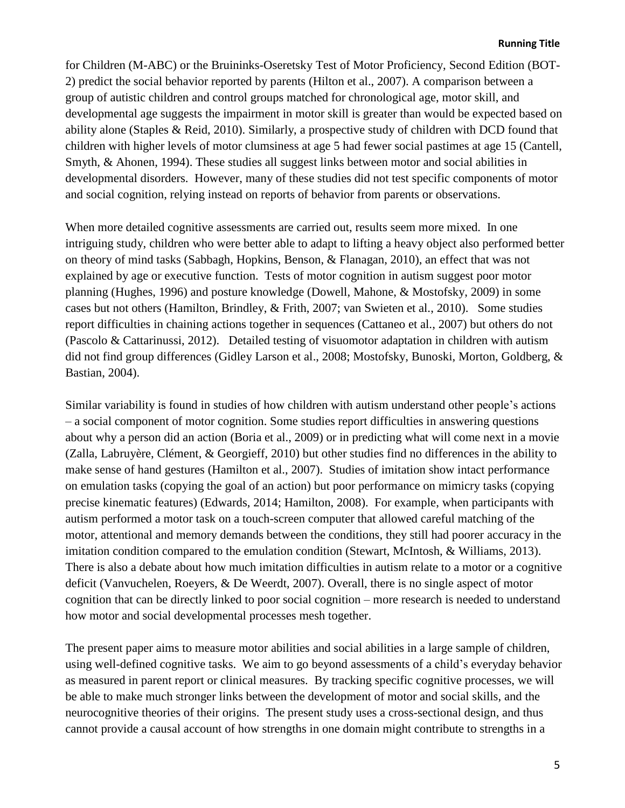for Children (M-ABC) or the Bruininks-Oseretsky Test of Motor Proficiency, Second Edition (BOT-2) predict the social behavior reported by parents (Hilton et al., 2007). A comparison between a group of autistic children and control groups matched for chronological age, motor skill, and developmental age suggests the impairment in motor skill is greater than would be expected based on ability alone (Staples & Reid, 2010). Similarly, a prospective study of children with DCD found that children with higher levels of motor clumsiness at age 5 had fewer social pastimes at age 15 (Cantell, Smyth, & Ahonen, 1994). These studies all suggest links between motor and social abilities in developmental disorders. However, many of these studies did not test specific components of motor and social cognition, relying instead on reports of behavior from parents or observations.

When more detailed cognitive assessments are carried out, results seem more mixed. In one intriguing study, children who were better able to adapt to lifting a heavy object also performed better on theory of mind tasks (Sabbagh, Hopkins, Benson, & Flanagan, 2010), an effect that was not explained by age or executive function. Tests of motor cognition in autism suggest poor motor planning (Hughes, 1996) and posture knowledge (Dowell, Mahone, & Mostofsky, 2009) in some cases but not others (Hamilton, Brindley, & Frith, 2007; van Swieten et al., 2010). Some studies report difficulties in chaining actions together in sequences (Cattaneo et al., 2007) but others do not (Pascolo & Cattarinussi, 2012). Detailed testing of visuomotor adaptation in children with autism did not find group differences (Gidley Larson et al., 2008; Mostofsky, Bunoski, Morton, Goldberg, & Bastian, 2004).

Similar variability is found in studies of how children with autism understand other people's actions – a social component of motor cognition. Some studies report difficulties in answering questions about why a person did an action (Boria et al., 2009) or in predicting what will come next in a movie (Zalla, Labruyère, Clément, & Georgieff, 2010) but other studies find no differences in the ability to make sense of hand gestures (Hamilton et al., 2007). Studies of imitation show intact performance on emulation tasks (copying the goal of an action) but poor performance on mimicry tasks (copying precise kinematic features) (Edwards, 2014; Hamilton, 2008). For example, when participants with autism performed a motor task on a touch-screen computer that allowed careful matching of the motor, attentional and memory demands between the conditions, they still had poorer accuracy in the imitation condition compared to the emulation condition (Stewart, McIntosh, & Williams, 2013). There is also a debate about how much imitation difficulties in autism relate to a motor or a cognitive deficit (Vanvuchelen, Roeyers, & De Weerdt, 2007). Overall, there is no single aspect of motor cognition that can be directly linked to poor social cognition – more research is needed to understand how motor and social developmental processes mesh together.

The present paper aims to measure motor abilities and social abilities in a large sample of children, using well-defined cognitive tasks. We aim to go beyond assessments of a child's everyday behavior as measured in parent report or clinical measures. By tracking specific cognitive processes, we will be able to make much stronger links between the development of motor and social skills, and the neurocognitive theories of their origins. The present study uses a cross-sectional design, and thus cannot provide a causal account of how strengths in one domain might contribute to strengths in a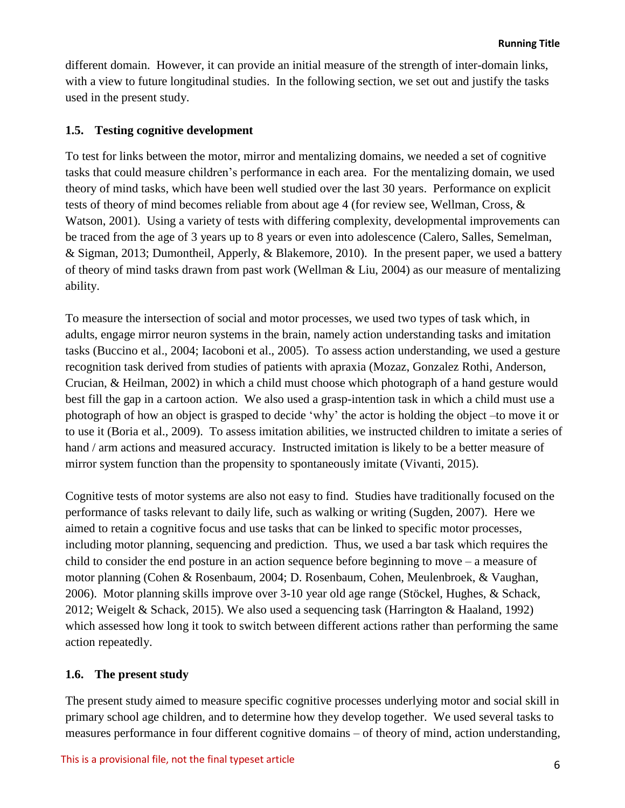different domain. However, it can provide an initial measure of the strength of inter-domain links, with a view to future longitudinal studies. In the following section, we set out and justify the tasks used in the present study.

## **1.5. Testing cognitive development**

To test for links between the motor, mirror and mentalizing domains, we needed a set of cognitive tasks that could measure children's performance in each area. For the mentalizing domain, we used theory of mind tasks, which have been well studied over the last 30 years. Performance on explicit tests of theory of mind becomes reliable from about age 4 (for review see, Wellman, Cross, & Watson, 2001). Using a variety of tests with differing complexity, developmental improvements can be traced from the age of 3 years up to 8 years or even into adolescence (Calero, Salles, Semelman, & Sigman, 2013; Dumontheil, Apperly, & Blakemore, 2010). In the present paper, we used a battery of theory of mind tasks drawn from past work (Wellman & Liu, 2004) as our measure of mentalizing ability.

To measure the intersection of social and motor processes, we used two types of task which, in adults, engage mirror neuron systems in the brain, namely action understanding tasks and imitation tasks (Buccino et al., 2004; Iacoboni et al., 2005). To assess action understanding, we used a gesture recognition task derived from studies of patients with apraxia (Mozaz, Gonzalez Rothi, Anderson, Crucian, & Heilman, 2002) in which a child must choose which photograph of a hand gesture would best fill the gap in a cartoon action. We also used a grasp-intention task in which a child must use a photograph of how an object is grasped to decide 'why' the actor is holding the object –to move it or to use it (Boria et al., 2009). To assess imitation abilities, we instructed children to imitate a series of hand / arm actions and measured accuracy. Instructed imitation is likely to be a better measure of mirror system function than the propensity to spontaneously imitate (Vivanti, 2015).

Cognitive tests of motor systems are also not easy to find. Studies have traditionally focused on the performance of tasks relevant to daily life, such as walking or writing (Sugden, 2007). Here we aimed to retain a cognitive focus and use tasks that can be linked to specific motor processes, including motor planning, sequencing and prediction. Thus, we used a bar task which requires the child to consider the end posture in an action sequence before beginning to move – a measure of motor planning (Cohen & Rosenbaum, 2004; D. Rosenbaum, Cohen, Meulenbroek, & Vaughan, 2006). Motor planning skills improve over 3-10 year old age range (Stöckel, Hughes, & Schack, 2012; Weigelt & Schack, 2015). We also used a sequencing task (Harrington & Haaland, 1992) which assessed how long it took to switch between different actions rather than performing the same action repeatedly.

# **1.6. The present study**

The present study aimed to measure specific cognitive processes underlying motor and social skill in primary school age children, and to determine how they develop together. We used several tasks to measures performance in four different cognitive domains – of theory of mind, action understanding,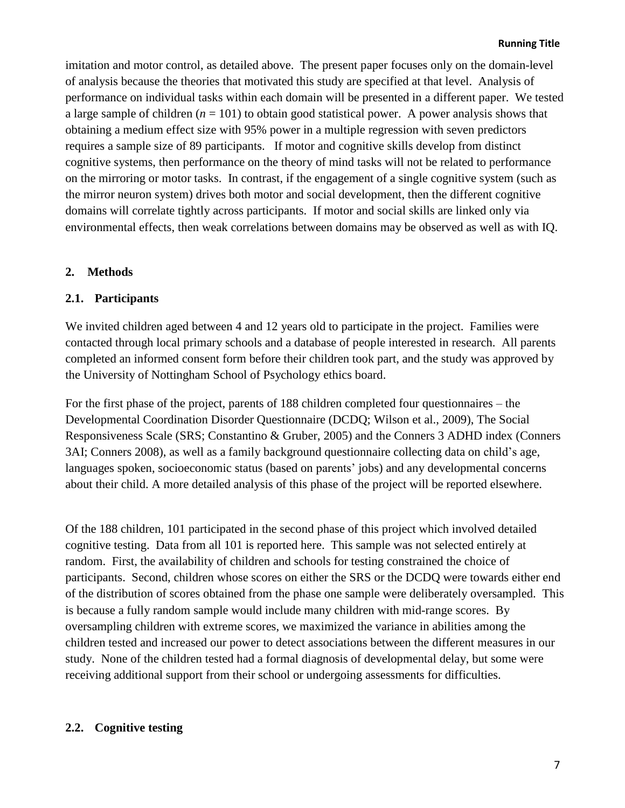imitation and motor control, as detailed above. The present paper focuses only on the domain-level of analysis because the theories that motivated this study are specified at that level. Analysis of performance on individual tasks within each domain will be presented in a different paper. We tested a large sample of children  $(n = 101)$  to obtain good statistical power. A power analysis shows that obtaining a medium effect size with 95% power in a multiple regression with seven predictors requires a sample size of 89 participants. If motor and cognitive skills develop from distinct cognitive systems, then performance on the theory of mind tasks will not be related to performance on the mirroring or motor tasks. In contrast, if the engagement of a single cognitive system (such as the mirror neuron system) drives both motor and social development, then the different cognitive domains will correlate tightly across participants. If motor and social skills are linked only via environmental effects, then weak correlations between domains may be observed as well as with IQ.

# **2. Methods**

# **2.1. Participants**

We invited children aged between 4 and 12 years old to participate in the project. Families were contacted through local primary schools and a database of people interested in research. All parents completed an informed consent form before their children took part, and the study was approved by the University of Nottingham School of Psychology ethics board.

For the first phase of the project, parents of 188 children completed four questionnaires – the Developmental Coordination Disorder Questionnaire (DCDQ; Wilson et al., 2009), The Social Responsiveness Scale (SRS; Constantino & Gruber, 2005) and the Conners 3 ADHD index (Conners 3AI; Conners 2008), as well as a family background questionnaire collecting data on child's age, languages spoken, socioeconomic status (based on parents' jobs) and any developmental concerns about their child. A more detailed analysis of this phase of the project will be reported elsewhere.

Of the 188 children, 101 participated in the second phase of this project which involved detailed cognitive testing. Data from all 101 is reported here. This sample was not selected entirely at random. First, the availability of children and schools for testing constrained the choice of participants. Second, children whose scores on either the SRS or the DCDQ were towards either end of the distribution of scores obtained from the phase one sample were deliberately oversampled. This is because a fully random sample would include many children with mid-range scores. By oversampling children with extreme scores, we maximized the variance in abilities among the children tested and increased our power to detect associations between the different measures in our study. None of the children tested had a formal diagnosis of developmental delay, but some were receiving additional support from their school or undergoing assessments for difficulties.

# **2.2. Cognitive testing**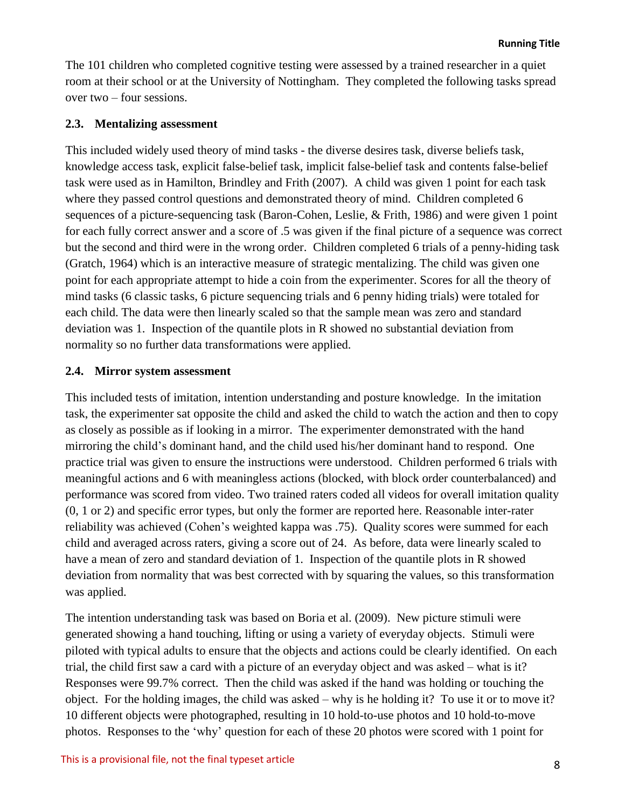The 101 children who completed cognitive testing were assessed by a trained researcher in a quiet room at their school or at the University of Nottingham. They completed the following tasks spread over two – four sessions.

## **2.3. Mentalizing assessment**

This included widely used theory of mind tasks - the diverse desires task, diverse beliefs task, knowledge access task, explicit false-belief task, implicit false-belief task and contents false-belief task were used as in Hamilton, Brindley and Frith (2007). A child was given 1 point for each task where they passed control questions and demonstrated theory of mind. Children completed 6 sequences of a picture-sequencing task (Baron-Cohen, Leslie, & Frith, 1986) and were given 1 point for each fully correct answer and a score of .5 was given if the final picture of a sequence was correct but the second and third were in the wrong order. Children completed 6 trials of a penny-hiding task (Gratch, 1964) which is an interactive measure of strategic mentalizing. The child was given one point for each appropriate attempt to hide a coin from the experimenter. Scores for all the theory of mind tasks (6 classic tasks, 6 picture sequencing trials and 6 penny hiding trials) were totaled for each child. The data were then linearly scaled so that the sample mean was zero and standard deviation was 1. Inspection of the quantile plots in R showed no substantial deviation from normality so no further data transformations were applied.

## **2.4. Mirror system assessment**

This included tests of imitation, intention understanding and posture knowledge. In the imitation task, the experimenter sat opposite the child and asked the child to watch the action and then to copy as closely as possible as if looking in a mirror. The experimenter demonstrated with the hand mirroring the child's dominant hand, and the child used his/her dominant hand to respond. One practice trial was given to ensure the instructions were understood. Children performed 6 trials with meaningful actions and 6 with meaningless actions (blocked, with block order counterbalanced) and performance was scored from video. Two trained raters coded all videos for overall imitation quality (0, 1 or 2) and specific error types, but only the former are reported here. Reasonable inter-rater reliability was achieved (Cohen's weighted kappa was .75). Quality scores were summed for each child and averaged across raters, giving a score out of 24. As before, data were linearly scaled to have a mean of zero and standard deviation of 1. Inspection of the quantile plots in R showed deviation from normality that was best corrected with by squaring the values, so this transformation was applied.

The intention understanding task was based on Boria et al. (2009). New picture stimuli were generated showing a hand touching, lifting or using a variety of everyday objects. Stimuli were piloted with typical adults to ensure that the objects and actions could be clearly identified. On each trial, the child first saw a card with a picture of an everyday object and was asked – what is it? Responses were 99.7% correct. Then the child was asked if the hand was holding or touching the object. For the holding images, the child was asked – why is he holding it? To use it or to move it? 10 different objects were photographed, resulting in 10 hold-to-use photos and 10 hold-to-move photos. Responses to the 'why' question for each of these 20 photos were scored with 1 point for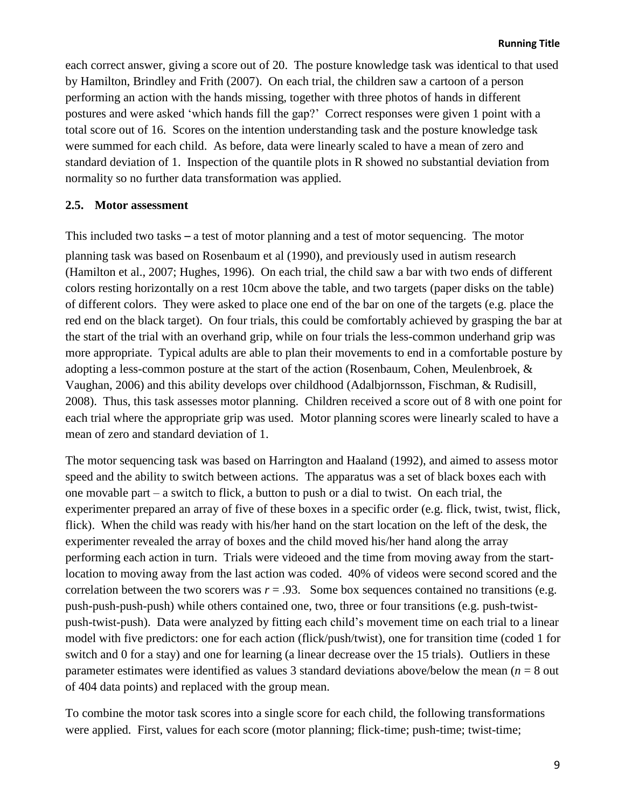each correct answer, giving a score out of 20. The posture knowledge task was identical to that used by Hamilton, Brindley and Frith (2007). On each trial, the children saw a cartoon of a person performing an action with the hands missing, together with three photos of hands in different postures and were asked 'which hands fill the gap?' Correct responses were given 1 point with a total score out of 16. Scores on the intention understanding task and the posture knowledge task were summed for each child. As before, data were linearly scaled to have a mean of zero and standard deviation of 1. Inspection of the quantile plots in R showed no substantial deviation from normality so no further data transformation was applied.

## **2.5. Motor assessment**

This included two tasks – a test of motor planning and a test of motor sequencing. The motor planning task was based on Rosenbaum et al (1990), and previously used in autism research (Hamilton et al., 2007; Hughes, 1996). On each trial, the child saw a bar with two ends of different colors resting horizontally on a rest 10cm above the table, and two targets (paper disks on the table) of different colors. They were asked to place one end of the bar on one of the targets (e.g. place the red end on the black target). On four trials, this could be comfortably achieved by grasping the bar at the start of the trial with an overhand grip, while on four trials the less-common underhand grip was more appropriate. Typical adults are able to plan their movements to end in a comfortable posture by adopting a less-common posture at the start of the action (Rosenbaum, Cohen, Meulenbroek, & Vaughan, 2006) and this ability develops over childhood (Adalbjornsson, Fischman, & Rudisill, 2008). Thus, this task assesses motor planning. Children received a score out of 8 with one point for each trial where the appropriate grip was used. Motor planning scores were linearly scaled to have a mean of zero and standard deviation of 1.

The motor sequencing task was based on Harrington and Haaland (1992), and aimed to assess motor speed and the ability to switch between actions. The apparatus was a set of black boxes each with one movable part – a switch to flick, a button to push or a dial to twist. On each trial, the experimenter prepared an array of five of these boxes in a specific order (e.g. flick, twist, twist, flick, flick). When the child was ready with his/her hand on the start location on the left of the desk, the experimenter revealed the array of boxes and the child moved his/her hand along the array performing each action in turn. Trials were videoed and the time from moving away from the startlocation to moving away from the last action was coded. 40% of videos were second scored and the correlation between the two scorers was  $r = .93$ . Some box sequences contained no transitions (e.g. push-push-push-push) while others contained one, two, three or four transitions (e.g. push-twistpush-twist-push). Data were analyzed by fitting each child's movement time on each trial to a linear model with five predictors: one for each action (flick/push/twist), one for transition time (coded 1 for switch and 0 for a stay) and one for learning (a linear decrease over the 15 trials). Outliers in these parameter estimates were identified as values 3 standard deviations above/below the mean (*n* = 8 out of 404 data points) and replaced with the group mean.

To combine the motor task scores into a single score for each child, the following transformations were applied. First, values for each score (motor planning; flick-time; push-time; twist-time;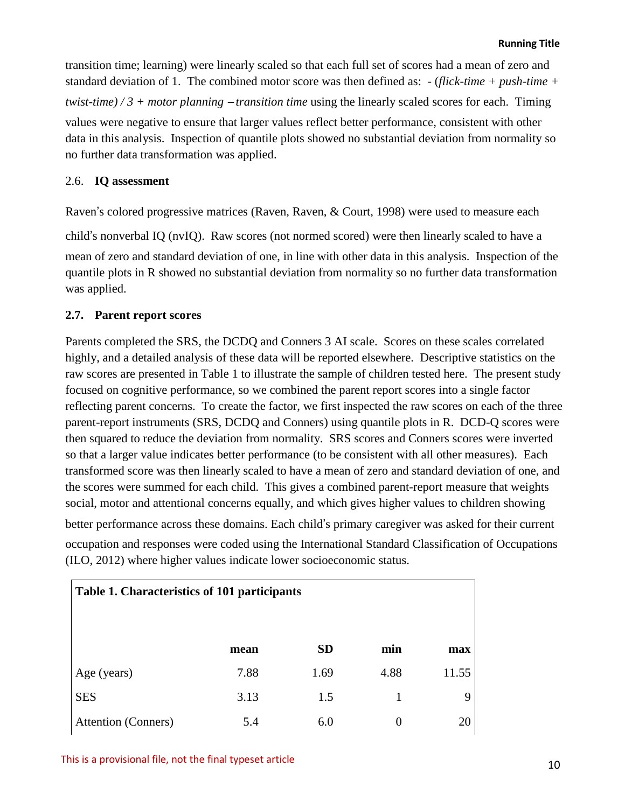transition time; learning) were linearly scaled so that each full set of scores had a mean of zero and standard deviation of 1. The combined motor score was then defined as: - (*flick-time + push-time + twist-time) / 3 + motor planning* – *transition time* using the linearly scaled scores for each. Timing values were negative to ensure that larger values reflect better performance, consistent with other data in this analysis. Inspection of quantile plots showed no substantial deviation from normality so no further data transformation was applied.

## 2.6. **IQ assessment**

Raven's colored progressive matrices (Raven, Raven, & Court, 1998) were used to measure each

child's nonverbal IQ (nvIQ). Raw scores (not normed scored) were then linearly scaled to have a mean of zero and standard deviation of one, in line with other data in this analysis. Inspection of the quantile plots in R showed no substantial deviation from normality so no further data transformation was applied.

## **2.7. Parent report scores**

Parents completed the SRS, the DCDQ and Conners 3 AI scale. Scores on these scales correlated highly, and a detailed analysis of these data will be reported elsewhere. Descriptive statistics on the raw scores are presented in Table 1 to illustrate the sample of children tested here. The present study focused on cognitive performance, so we combined the parent report scores into a single factor reflecting parent concerns. To create the factor, we first inspected the raw scores on each of the three parent-report instruments (SRS, DCDQ and Conners) using quantile plots in R. DCD-Q scores were then squared to reduce the deviation from normality. SRS scores and Conners scores were inverted so that a larger value indicates better performance (to be consistent with all other measures). Each transformed score was then linearly scaled to have a mean of zero and standard deviation of one, and the scores were summed for each child. This gives a combined parent-report measure that weights social, motor and attentional concerns equally, and which gives higher values to children showing

better performance across these domains. Each child's primary caregiver was asked for their current occupation and responses were coded using the International Standard Classification of Occupations (ILO, 2012) where higher values indicate lower socioeconomic status.

| Table 1. Characteristics of 101 participants |      |           |          |       |  |  |
|----------------------------------------------|------|-----------|----------|-------|--|--|
|                                              | mean | <b>SD</b> | min      | max   |  |  |
| Age (years)                                  | 7.88 | 1.69      | 4.88     | 11.55 |  |  |
| <b>SES</b>                                   | 3.13 | 1.5       |          | 9     |  |  |
| <b>Attention</b> (Conners)                   | 5.4  | 6.0       | $\theta$ | 20    |  |  |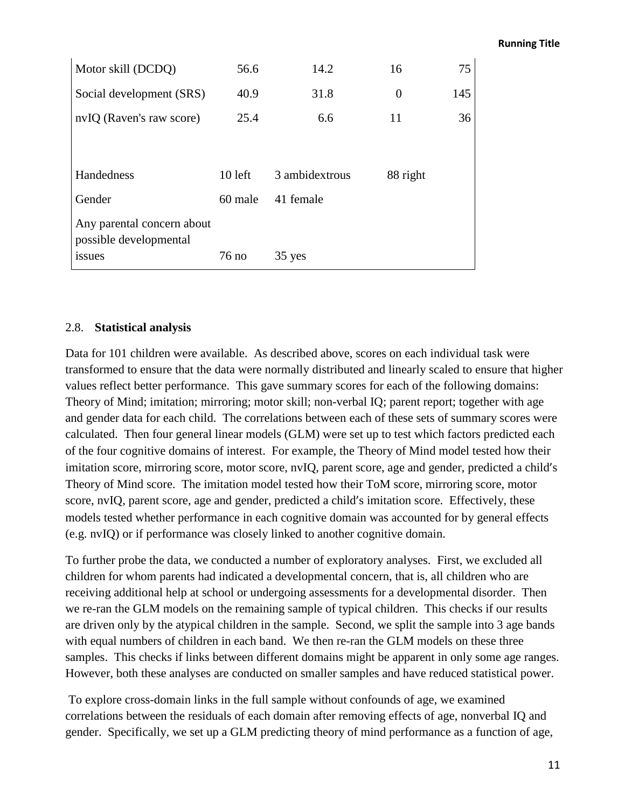#### **Running Title**

| Motor skill (DCDQ)         | 56.6      | 14.2           | 16       | 75  |  |  |
|----------------------------|-----------|----------------|----------|-----|--|--|
| Social development (SRS)   | 40.9      | 31.8           | $\theta$ | 145 |  |  |
| nvIQ (Raven's raw score)   | 25.4      | 6.6            | 11       | 36  |  |  |
|                            |           |                |          |     |  |  |
| Handedness                 | $10$ left | 3 ambidextrous | 88 right |     |  |  |
|                            |           |                |          |     |  |  |
| Gender                     | 60 male   | 41 female      |          |     |  |  |
| Any parental concern about |           |                |          |     |  |  |
| possible developmental     |           |                |          |     |  |  |
| issues                     | $76$ no   | 35 yes         |          |     |  |  |

#### 2.8. **Statistical analysis**

Data for 101 children were available. As described above, scores on each individual task were transformed to ensure that the data were normally distributed and linearly scaled to ensure that higher values reflect better performance. This gave summary scores for each of the following domains: Theory of Mind; imitation; mirroring; motor skill; non-verbal IQ; parent report; together with age and gender data for each child. The correlations between each of these sets of summary scores were calculated. Then four general linear models (GLM) were set up to test which factors predicted each of the four cognitive domains of interest. For example, the Theory of Mind model tested how their imitation score, mirroring score, motor score, nvIQ, parent score, age and gender, predicted a child's Theory of Mind score. The imitation model tested how their ToM score, mirroring score, motor score, nvIQ, parent score, age and gender, predicted a child's imitation score. Effectively, these models tested whether performance in each cognitive domain was accounted for by general effects (e.g. nvIQ) or if performance was closely linked to another cognitive domain.

To further probe the data, we conducted a number of exploratory analyses. First, we excluded all children for whom parents had indicated a developmental concern, that is, all children who are receiving additional help at school or undergoing assessments for a developmental disorder. Then we re-ran the GLM models on the remaining sample of typical children. This checks if our results are driven only by the atypical children in the sample. Second, we split the sample into 3 age bands with equal numbers of children in each band. We then re-ran the GLM models on these three samples. This checks if links between different domains might be apparent in only some age ranges. However, both these analyses are conducted on smaller samples and have reduced statistical power.

To explore cross-domain links in the full sample without confounds of age, we examined correlations between the residuals of each domain after removing effects of age, nonverbal IQ and gender. Specifically, we set up a GLM predicting theory of mind performance as a function of age,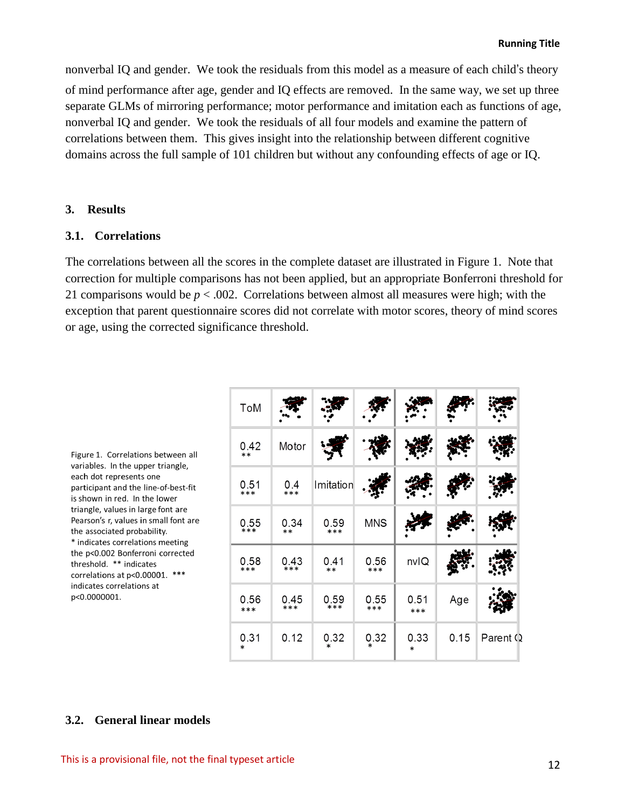nonverbal IQ and gender. We took the residuals from this model as a measure of each child's theory of mind performance after age, gender and IQ effects are removed. In the same way, we set up three separate GLMs of mirroring performance; motor performance and imitation each as functions of age, nonverbal IQ and gender. We took the residuals of all four models and examine the pattern of correlations between them. This gives insight into the relationship between different cognitive domains across the full sample of 101 children but without any confounding effects of age or IQ.

#### **3. Results**

## **3.1. Correlations**

The correlations between all the scores in the complete dataset are illustrated in Figure 1. Note that correction for multiple comparisons has not been applied, but an appropriate Bonferroni threshold for 21 comparisons would be  $p < .002$ . Correlations between almost all measures were high; with the exception that parent questionnaire scores did not correlate with motor scores, theory of mind scores or age, using the corrected significance threshold.

| ToM            |              |                |                |                |      |          |
|----------------|--------------|----------------|----------------|----------------|------|----------|
| 0.42<br>$**$   | Motor        |                |                |                |      |          |
| 0.51<br>***    | 0.4<br>***   | Imitation      |                |                |      |          |
| 0.55<br>$***$  | 0.34<br>$**$ | 0.59<br>***    | <b>MNS</b>     |                |      |          |
| 0.58<br>$***$  | 0.43         | 0.41<br>$**$   | 0.56<br>***    | nvlQ           |      |          |
| 0.56<br>***    | 0.45<br>***  | 0.59<br>$***$  | 0.55<br>***    | 0.51<br>$***$  | Age  |          |
| 0.31<br>$\ast$ | 0.12         | 0.32<br>$\ast$ | 0.32<br>$\ast$ | 0.33<br>$\ast$ | 0.15 | Parent Q |

Figure 1. Correlations between all variables. In the upper triangle, each dot represents one participant and the line-of-best-fit is shown in red. In the lower triangle, values in large font are Pearson's r, values in small font are the associated probability. \* indicates correlations meeting the p<0.002 Bonferroni corrected threshold. \*\* indicates correlations at p<0.00001. \*\*\* indicates correlations at p<0.0000001.

#### **3.2. General linear models**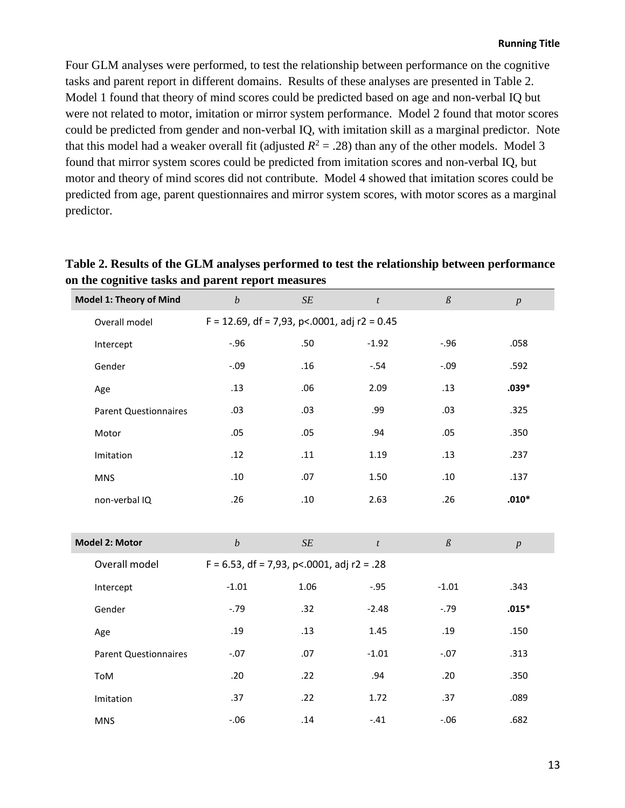Four GLM analyses were performed, to test the relationship between performance on the cognitive tasks and parent report in different domains. Results of these analyses are presented in Table 2. Model 1 found that theory of mind scores could be predicted based on age and non-verbal IQ but were not related to motor, imitation or mirror system performance. Model 2 found that motor scores could be predicted from gender and non-verbal IQ, with imitation skill as a marginal predictor. Note that this model had a weaker overall fit (adjusted  $R^2 = .28$ ) than any of the other models. Model 3 found that mirror system scores could be predicted from imitation scores and non-verbal IQ, but motor and theory of mind scores did not contribute. Model 4 showed that imitation scores could be predicted from age, parent questionnaires and mirror system scores, with motor scores as a marginal predictor.

# **Table 2. Results of the GLM analyses performed to test the relationship between performance on the cognitive tasks and parent report measures**

| Model 1: Theory of Mind      | $\boldsymbol{b}$                                 | $\cal SE$ | $\boldsymbol{t}$ | $\mathcal{G}% _{M_{1},M_{2}}^{\alpha,\beta}(\mathcal{M}_{M_{1},M_{2}}^{\alpha,\beta}(\mathcal{M}_{M_{1},M_{2}}^{\alpha,\beta}))$ | $\boldsymbol{p}$ |  |  |
|------------------------------|--------------------------------------------------|-----------|------------------|----------------------------------------------------------------------------------------------------------------------------------|------------------|--|--|
| Overall model                | $F = 12.69$ , df = 7,93, p < 0001, adj r2 = 0.45 |           |                  |                                                                                                                                  |                  |  |  |
| Intercept                    | $-.96$                                           | .50       | $-1.92$          | $-.96$                                                                                                                           | .058             |  |  |
| Gender                       | $-.09$                                           | .16       | $-.54$           | $-.09$                                                                                                                           | .592             |  |  |
| Age                          | .13                                              | .06       | 2.09             | .13                                                                                                                              | $.039*$          |  |  |
| <b>Parent Questionnaires</b> | .03                                              | .03       | .99              | .03                                                                                                                              | .325             |  |  |
| Motor                        | .05                                              | .05       | .94              | .05                                                                                                                              | .350             |  |  |
| Imitation                    | .12                                              | .11       | 1.19             | .13                                                                                                                              | .237             |  |  |
| <b>MNS</b>                   | .10                                              | .07       | 1.50             | .10                                                                                                                              | .137             |  |  |
| non-verbal IQ                | .26                                              | .10       | 2.63             | .26                                                                                                                              | $.010*$          |  |  |
|                              |                                                  |           |                  |                                                                                                                                  |                  |  |  |
| Model 2: Motor               | $\boldsymbol{b}$                                 | $\cal SE$ | $\boldsymbol{t}$ | $\mathcal{G}% _{M_{1},M_{2}}^{\alpha,\beta}(\mathcal{M}_{M_{1},M_{2}}^{\alpha,\beta}(\mathcal{M}_{M_{1},M_{2}}^{\alpha,\beta}))$ | $\boldsymbol{p}$ |  |  |
| Overall model                | $F = 6.53$ , df = 7,93, p < 0001, adj r2 = .28   |           |                  |                                                                                                                                  |                  |  |  |
| Intercept                    | $-1.01$                                          | 1.06      | $-0.95$          | $-1.01$                                                                                                                          | .343             |  |  |
| Gender                       | $-0.79$                                          | .32       | $-2.48$          | $-0.79$                                                                                                                          | $.015*$          |  |  |
| Age                          | .19                                              | .13       | 1.45             | .19                                                                                                                              | .150             |  |  |
| <b>Parent Questionnaires</b> | $-.07$                                           | .07       | $-1.01$          | $-.07$                                                                                                                           | .313             |  |  |
| ToM                          | .20                                              | .22       | .94              | .20                                                                                                                              | .350             |  |  |
| Imitation                    | .37                                              | .22       | 1.72             | .37                                                                                                                              | .089             |  |  |
| <b>MNS</b>                   | $-.06$                                           | .14       | $-.41$           | $-.06$                                                                                                                           | .682             |  |  |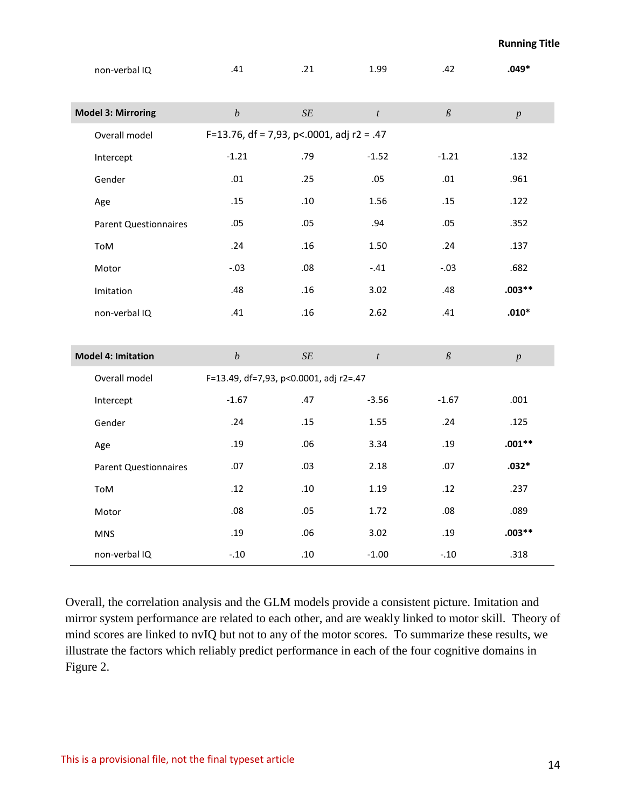| non-verbal IQ                | .41                                    | .21                                         | 1.99             | .42                                                                                                                              | $.049*$          |  |  |  |
|------------------------------|----------------------------------------|---------------------------------------------|------------------|----------------------------------------------------------------------------------------------------------------------------------|------------------|--|--|--|
| <b>Model 3: Mirroring</b>    | $\boldsymbol{b}$                       | $\cal SE$                                   | $\boldsymbol{t}$ | $\mathcal{G}% _{M_{1},M_{2}}^{\alpha,\beta}(\mathcal{M}_{M_{1},M_{2}}^{\alpha,\beta}(\mathcal{M}_{M_{1},M_{2}}^{\alpha,\beta}))$ | $\boldsymbol{p}$ |  |  |  |
| Overall model                |                                        | F=13.76, df = 7,93, p <. 0001, adj r2 = .47 |                  |                                                                                                                                  |                  |  |  |  |
| Intercept                    | $-1.21$                                | .79                                         | $-1.52$          | $-1.21$                                                                                                                          | .132             |  |  |  |
| Gender                       | .01                                    | .25                                         | .05              | .01                                                                                                                              | .961             |  |  |  |
| Age                          | .15                                    | .10                                         | 1.56             | .15                                                                                                                              | .122             |  |  |  |
| <b>Parent Questionnaires</b> | .05                                    | .05                                         | .94              | .05                                                                                                                              | .352             |  |  |  |
| ToM                          | .24                                    | .16                                         | 1.50             | .24                                                                                                                              | .137             |  |  |  |
| Motor                        | $-.03$                                 | .08                                         | $-.41$           | $-.03$                                                                                                                           | .682             |  |  |  |
| Imitation                    | .48                                    | .16                                         | 3.02             | .48                                                                                                                              | $.003**$         |  |  |  |
| non-verbal IQ                | .41                                    | .16                                         | 2.62             | .41                                                                                                                              | $.010*$          |  |  |  |
|                              |                                        |                                             |                  |                                                                                                                                  |                  |  |  |  |
| <b>Model 4: Imitation</b>    | $\boldsymbol{b}$                       | $\cal SE$                                   | $\boldsymbol{t}$ | $\mathcal{G}% _{M_{1},M_{2}}^{\alpha,\beta}(\mathcal{M}_{M_{1},M_{2}}^{\alpha,\beta}(\mathcal{M}_{M_{1},M_{2}}^{\alpha,\beta}))$ | $\boldsymbol{p}$ |  |  |  |
| Overall model                | F=13.49, df=7,93, p<0.0001, adj r2=.47 |                                             |                  |                                                                                                                                  |                  |  |  |  |
| Intercept                    | $-1.67$                                | .47                                         | $-3.56$          | $-1.67$                                                                                                                          | .001             |  |  |  |
| Gender                       | .24                                    | .15                                         | 1.55             | .24                                                                                                                              | .125             |  |  |  |
| Age                          | .19                                    | .06                                         | 3.34             | .19                                                                                                                              | $.001**$         |  |  |  |
| <b>Parent Questionnaires</b> | .07                                    | .03                                         | 2.18             | .07                                                                                                                              | $.032*$          |  |  |  |
| ToM                          | .12                                    | .10                                         | 1.19             | .12                                                                                                                              | .237             |  |  |  |
| Motor                        | .08                                    | .05                                         | 1.72             | .08                                                                                                                              | .089             |  |  |  |
| <b>MNS</b>                   | .19                                    | .06                                         | 3.02             | .19                                                                                                                              | $.003**$         |  |  |  |
| non-verbal IQ                | $-.10$                                 | .10                                         | $-1.00$          | $-.10$                                                                                                                           | .318             |  |  |  |

Overall, the correlation analysis and the GLM models provide a consistent picture. Imitation and mirror system performance are related to each other, and are weakly linked to motor skill. Theory of mind scores are linked to nvIQ but not to any of the motor scores. To summarize these results, we illustrate the factors which reliably predict performance in each of the four cognitive domains in Figure 2.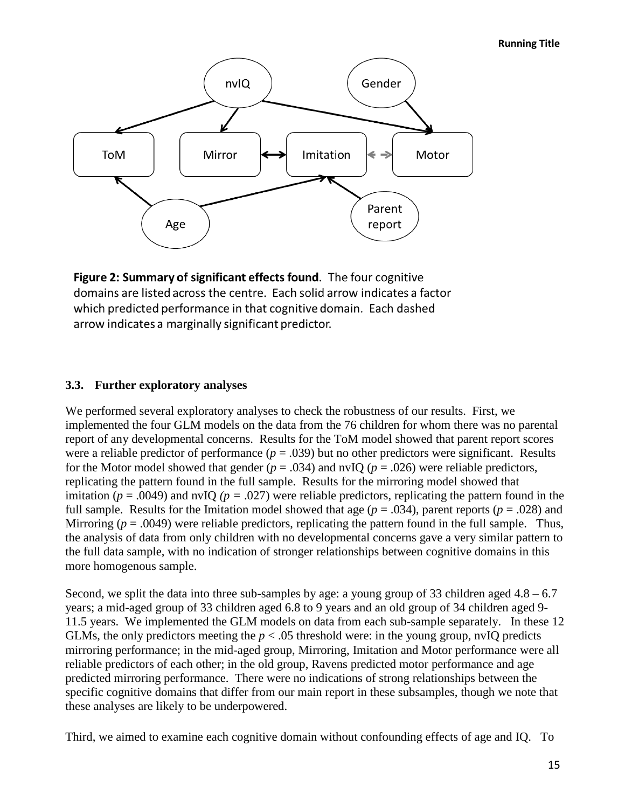#### **Running Title**



Figure 2: Summary of significant effects found. The four cognitive domains are listed across the centre. Each solid arrow indicates a factor which predicted performance in that cognitive domain. Each dashed arrow indicates a marginally significant predictor.

## **3.3. Further exploratory analyses**

We performed several exploratory analyses to check the robustness of our results. First, we implemented the four GLM models on the data from the 76 children for whom there was no parental report of any developmental concerns. Results for the ToM model showed that parent report scores were a reliable predictor of performance  $(p = .039)$  but no other predictors were significant. Results for the Motor model showed that gender ( $p = .034$ ) and nvIQ ( $p = .026$ ) were reliable predictors, replicating the pattern found in the full sample. Results for the mirroring model showed that imitation ( $p = .0049$ ) and nvIQ ( $p = .027$ ) were reliable predictors, replicating the pattern found in the full sample. Results for the Imitation model showed that age  $(p = .034)$ , parent reports  $(p = .028)$  and Mirroring  $(p = .0049)$  were reliable predictors, replicating the pattern found in the full sample. Thus, the analysis of data from only children with no developmental concerns gave a very similar pattern to the full data sample, with no indication of stronger relationships between cognitive domains in this more homogenous sample.

Second, we split the data into three sub-samples by age: a young group of 33 children aged  $4.8 - 6.7$ years; a mid-aged group of 33 children aged 6.8 to 9 years and an old group of 34 children aged 9- 11.5 years. We implemented the GLM models on data from each sub-sample separately. In these 12 GLMs, the only predictors meeting the  $p < .05$  threshold were: in the young group, nvIO predicts mirroring performance; in the mid-aged group, Mirroring, Imitation and Motor performance were all reliable predictors of each other; in the old group, Ravens predicted motor performance and age predicted mirroring performance. There were no indications of strong relationships between the specific cognitive domains that differ from our main report in these subsamples, though we note that these analyses are likely to be underpowered.

Third, we aimed to examine each cognitive domain without confounding effects of age and IQ. To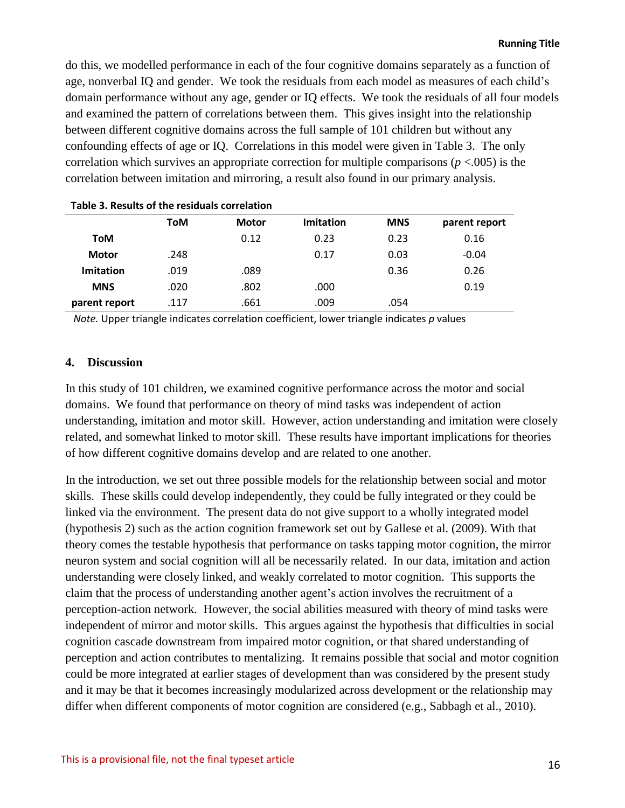do this, we modelled performance in each of the four cognitive domains separately as a function of age, nonverbal IQ and gender. We took the residuals from each model as measures of each child's domain performance without any age, gender or IQ effects. We took the residuals of all four models and examined the pattern of correlations between them. This gives insight into the relationship between different cognitive domains across the full sample of 101 children but without any confounding effects of age or IQ. Correlations in this model were given in Table 3. The only correlation which survives an appropriate correction for multiple comparisons ( $p < .005$ ) is the correlation between imitation and mirroring, a result also found in our primary analysis.

| Table 5. Results Of the residuals correlation |      |              |                  |            |               |  |
|-----------------------------------------------|------|--------------|------------------|------------|---------------|--|
|                                               | ToM  | <b>Motor</b> | <b>Imitation</b> | <b>MNS</b> | parent report |  |
| ToM                                           |      | 0.12         | 0.23             | 0.23       | 0.16          |  |
| <b>Motor</b>                                  | .248 |              | 0.17             | 0.03       | $-0.04$       |  |
| <b>Imitation</b>                              | .019 | .089         |                  | 0.36       | 0.26          |  |
| <b>MNS</b>                                    | .020 | .802         | .000             |            | 0.19          |  |
| parent report                                 | .117 | .661         | .009             | .054       |               |  |

**Table 3. Results of the residuals correlation**

*Note.* Upper triangle indicates correlation coefficient, lower triangle indicates *p* values

#### **4. Discussion**

In this study of 101 children, we examined cognitive performance across the motor and social domains. We found that performance on theory of mind tasks was independent of action understanding, imitation and motor skill. However, action understanding and imitation were closely related, and somewhat linked to motor skill. These results have important implications for theories of how different cognitive domains develop and are related to one another.

In the introduction, we set out three possible models for the relationship between social and motor skills. These skills could develop independently, they could be fully integrated or they could be linked via the environment. The present data do not give support to a wholly integrated model (hypothesis 2) such as the action cognition framework set out by Gallese et al. (2009). With that theory comes the testable hypothesis that performance on tasks tapping motor cognition, the mirror neuron system and social cognition will all be necessarily related. In our data, imitation and action understanding were closely linked, and weakly correlated to motor cognition. This supports the claim that the process of understanding another agent's action involves the recruitment of a perception-action network. However, the social abilities measured with theory of mind tasks were independent of mirror and motor skills. This argues against the hypothesis that difficulties in social cognition cascade downstream from impaired motor cognition, or that shared understanding of perception and action contributes to mentalizing. It remains possible that social and motor cognition could be more integrated at earlier stages of development than was considered by the present study and it may be that it becomes increasingly modularized across development or the relationship may differ when different components of motor cognition are considered (e.g., Sabbagh et al., 2010).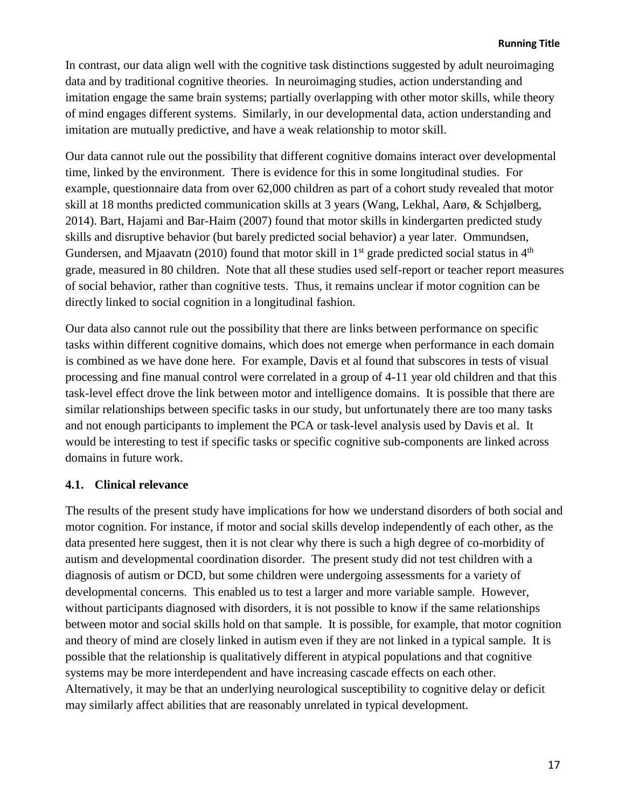In contrast, our data align well with the cognitive task distinctions suggested by adult neuroimaging data and by traditional cognitive theories. In neuroimaging studies, action understanding and imitation engage the same brain systems; partially overlapping with other motor skills, while theory of mind engages different systems. Similarly, in our developmental data, action understanding and imitation are mutually predictive, and have a weak relationship to motor skill.

Our data cannot rule out the possibility that different cognitive domains interact over developmental time, linked by the environment. There is evidence for this in some longitudinal studies. For example, questionnaire data from over 62,000 children as part of a cohort study revealed that motor skill at 18 months predicted communication skills at 3 years (Wang, Lekhal, Aarø, & Schjølberg, 2014). Bart, Hajami and Bar-Haim (2007) found that motor skills in kindergarten predicted study skills and disruptive behavior (but barely predicted social behavior) a year later. Ommundsen, Gundersen, and Mjaavatn (2010) found that motor skill in  $1<sup>st</sup>$  grade predicted social status in  $4<sup>th</sup>$ grade, measured in 80 children. Note that all these studies used self-report or teacher report measures of social behavior, rather than cognitive tests. Thus, it remains unclear if motor cognition can be directly linked to social cognition in a longitudinal fashion.

Our data also cannot rule out the possibility that there are links between performance on specific tasks within different cognitive domains, which does not emerge when performance in each domain is combined as we have done here. For example, Davis et al found that subscores in tests of visual processing and fine manual control were correlated in a group of 4-11 year old children and that this task-level effect drove the link between motor and intelligence domains. It is possible that there are similar relationships between specific tasks in our study, but unfortunately there are too many tasks and not enough participants to implement the PCA or task-level analysis used by Davis et al. It would be interesting to test if specific tasks or specific cognitive sub-components are linked across domains in future work.

# **4.1. Clinical relevance**

The results of the present study have implications for how we understand disorders of both social and motor cognition. For instance, if motor and social skills develop independently of each other, as the data presented here suggest, then it is not clear why there is such a high degree of co-morbidity of autism and developmental coordination disorder. The present study did not test children with a diagnosis of autism or DCD, but some children were undergoing assessments for a variety of developmental concerns. This enabled us to test a larger and more variable sample. However, without participants diagnosed with disorders, it is not possible to know if the same relationships between motor and social skills hold on that sample. It is possible, for example, that motor cognition and theory of mind are closely linked in autism even if they are not linked in a typical sample. It is possible that the relationship is qualitatively different in atypical populations and that cognitive systems may be more interdependent and have increasing cascade effects on each other. Alternatively, it may be that an underlying neurological susceptibility to cognitive delay or deficit may similarly affect abilities that are reasonably unrelated in typical development.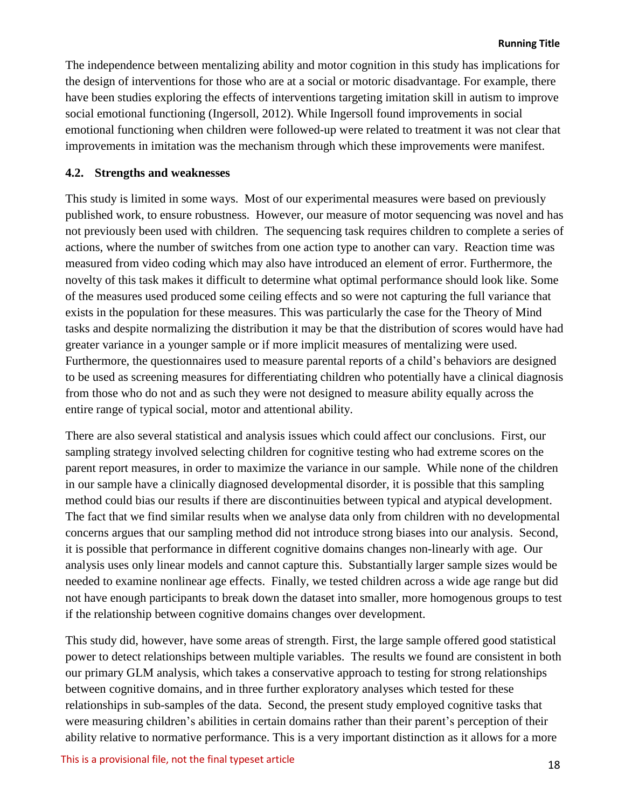The independence between mentalizing ability and motor cognition in this study has implications for the design of interventions for those who are at a social or motoric disadvantage. For example, there have been studies exploring the effects of interventions targeting imitation skill in autism to improve social emotional functioning (Ingersoll, 2012). While Ingersoll found improvements in social emotional functioning when children were followed-up were related to treatment it was not clear that improvements in imitation was the mechanism through which these improvements were manifest.

## **4.2. Strengths and weaknesses**

This study is limited in some ways. Most of our experimental measures were based on previously published work, to ensure robustness. However, our measure of motor sequencing was novel and has not previously been used with children. The sequencing task requires children to complete a series of actions, where the number of switches from one action type to another can vary. Reaction time was measured from video coding which may also have introduced an element of error. Furthermore, the novelty of this task makes it difficult to determine what optimal performance should look like. Some of the measures used produced some ceiling effects and so were not capturing the full variance that exists in the population for these measures. This was particularly the case for the Theory of Mind tasks and despite normalizing the distribution it may be that the distribution of scores would have had greater variance in a younger sample or if more implicit measures of mentalizing were used. Furthermore, the questionnaires used to measure parental reports of a child's behaviors are designed to be used as screening measures for differentiating children who potentially have a clinical diagnosis from those who do not and as such they were not designed to measure ability equally across the entire range of typical social, motor and attentional ability.

There are also several statistical and analysis issues which could affect our conclusions. First, our sampling strategy involved selecting children for cognitive testing who had extreme scores on the parent report measures, in order to maximize the variance in our sample. While none of the children in our sample have a clinically diagnosed developmental disorder, it is possible that this sampling method could bias our results if there are discontinuities between typical and atypical development. The fact that we find similar results when we analyse data only from children with no developmental concerns argues that our sampling method did not introduce strong biases into our analysis. Second, it is possible that performance in different cognitive domains changes non-linearly with age. Our analysis uses only linear models and cannot capture this. Substantially larger sample sizes would be needed to examine nonlinear age effects. Finally, we tested children across a wide age range but did not have enough participants to break down the dataset into smaller, more homogenous groups to test if the relationship between cognitive domains changes over development.

This study did, however, have some areas of strength. First, the large sample offered good statistical power to detect relationships between multiple variables. The results we found are consistent in both our primary GLM analysis, which takes a conservative approach to testing for strong relationships between cognitive domains, and in three further exploratory analyses which tested for these relationships in sub-samples of the data. Second, the present study employed cognitive tasks that were measuring children's abilities in certain domains rather than their parent's perception of their ability relative to normative performance. This is a very important distinction as it allows for a more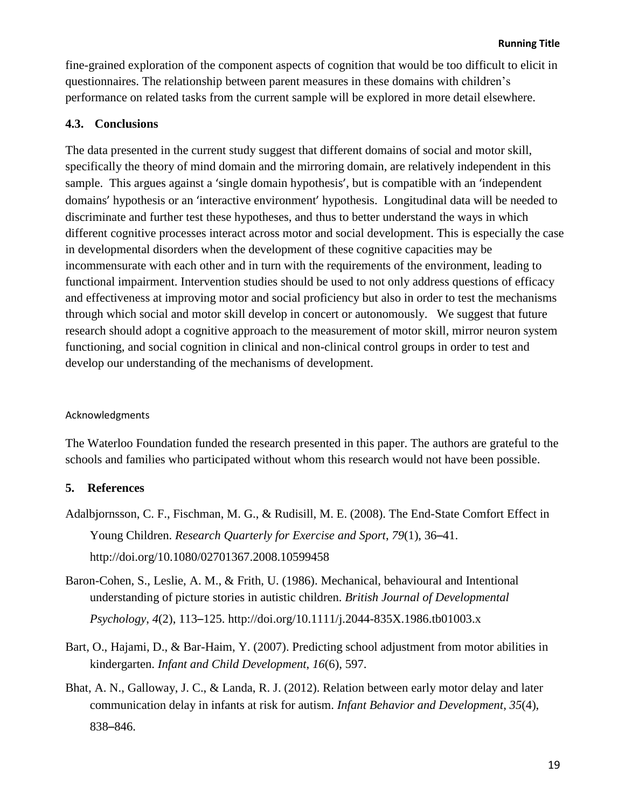fine-grained exploration of the component aspects of cognition that would be too difficult to elicit in questionnaires. The relationship between parent measures in these domains with children's performance on related tasks from the current sample will be explored in more detail elsewhere.

## **4.3. Conclusions**

The data presented in the current study suggest that different domains of social and motor skill, specifically the theory of mind domain and the mirroring domain, are relatively independent in this sample. This argues against a 'single domain hypothesis', but is compatible with an 'independent domains' hypothesis or an 'interactive environment' hypothesis. Longitudinal data will be needed to discriminate and further test these hypotheses, and thus to better understand the ways in which different cognitive processes interact across motor and social development. This is especially the case in developmental disorders when the development of these cognitive capacities may be incommensurate with each other and in turn with the requirements of the environment, leading to functional impairment. Intervention studies should be used to not only address questions of efficacy and effectiveness at improving motor and social proficiency but also in order to test the mechanisms through which social and motor skill develop in concert or autonomously. We suggest that future research should adopt a cognitive approach to the measurement of motor skill, mirror neuron system functioning, and social cognition in clinical and non-clinical control groups in order to test and develop our understanding of the mechanisms of development.

## Acknowledgments

The Waterloo Foundation funded the research presented in this paper. The authors are grateful to the schools and families who participated without whom this research would not have been possible.

## **5. References**

- Adalbjornsson, C. F., Fischman, M. G., & Rudisill, M. E. (2008). The End-State Comfort Effect in Young Children. *Research Quarterly for Exercise and Sport*, *79*(1), 36–41. http://doi.org/10.1080/02701367.2008.10599458
- Baron-Cohen, S., Leslie, A. M., & Frith, U. (1986). Mechanical, behavioural and Intentional understanding of picture stories in autistic children. *British Journal of Developmental Psychology*, *4*(2), 113–125. http://doi.org/10.1111/j.2044-835X.1986.tb01003.x
- Bart, O., Hajami, D., & Bar-Haim, Y. (2007). Predicting school adjustment from motor abilities in kindergarten. *Infant and Child Development*, *16*(6), 597.
- Bhat, A. N., Galloway, J. C., & Landa, R. J. (2012). Relation between early motor delay and later communication delay in infants at risk for autism. *Infant Behavior and Development*, *35*(4), 838–846.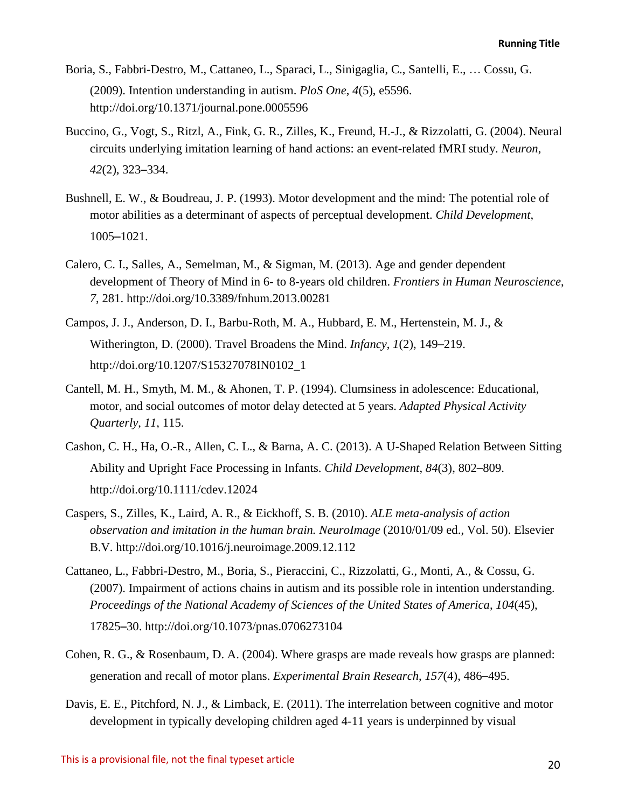- Boria, S., Fabbri-Destro, M., Cattaneo, L., Sparaci, L., Sinigaglia, C., Santelli, E., … Cossu, G. (2009). Intention understanding in autism. *PloS One*, *4*(5), e5596. http://doi.org/10.1371/journal.pone.0005596
- Buccino, G., Vogt, S., Ritzl, A., Fink, G. R., Zilles, K., Freund, H.-J., & Rizzolatti, G. (2004). Neural circuits underlying imitation learning of hand actions: an event-related fMRI study. *Neuron*, *42*(2), 323–334.
- Bushnell, E. W., & Boudreau, J. P. (1993). Motor development and the mind: The potential role of motor abilities as a determinant of aspects of perceptual development. *Child Development*, 1005–1021.
- Calero, C. I., Salles, A., Semelman, M., & Sigman, M. (2013). Age and gender dependent development of Theory of Mind in 6- to 8-years old children. *Frontiers in Human Neuroscience*, *7*, 281. http://doi.org/10.3389/fnhum.2013.00281
- Campos, J. J., Anderson, D. I., Barbu-Roth, M. A., Hubbard, E. M., Hertenstein, M. J., & Witherington, D. (2000). Travel Broadens the Mind. *Infancy*, *1*(2), 149–219. http://doi.org/10.1207/S15327078IN0102\_1
- Cantell, M. H., Smyth, M. M., & Ahonen, T. P. (1994). Clumsiness in adolescence: Educational, motor, and social outcomes of motor delay detected at 5 years. *Adapted Physical Activity Quarterly*, *11*, 115.
- Cashon, C. H., Ha, O.-R., Allen, C. L., & Barna, A. C. (2013). A U-Shaped Relation Between Sitting Ability and Upright Face Processing in Infants. *Child Development*, *84*(3), 802–809. http://doi.org/10.1111/cdev.12024
- Caspers, S., Zilles, K., Laird, A. R., & Eickhoff, S. B. (2010). *ALE meta-analysis of action observation and imitation in the human brain. NeuroImage* (2010/01/09 ed., Vol. 50). Elsevier B.V. http://doi.org/10.1016/j.neuroimage.2009.12.112
- Cattaneo, L., Fabbri-Destro, M., Boria, S., Pieraccini, C., Rizzolatti, G., Monti, A., & Cossu, G. (2007). Impairment of actions chains in autism and its possible role in intention understanding. *Proceedings of the National Academy of Sciences of the United States of America*, *104*(45), 17825–30. http://doi.org/10.1073/pnas.0706273104
- Cohen, R. G., & Rosenbaum, D. A. (2004). Where grasps are made reveals how grasps are planned: generation and recall of motor plans. *Experimental Brain Research*, *157*(4), 486–495.
- Davis, E. E., Pitchford, N. J., & Limback, E. (2011). The interrelation between cognitive and motor development in typically developing children aged 4-11 years is underpinned by visual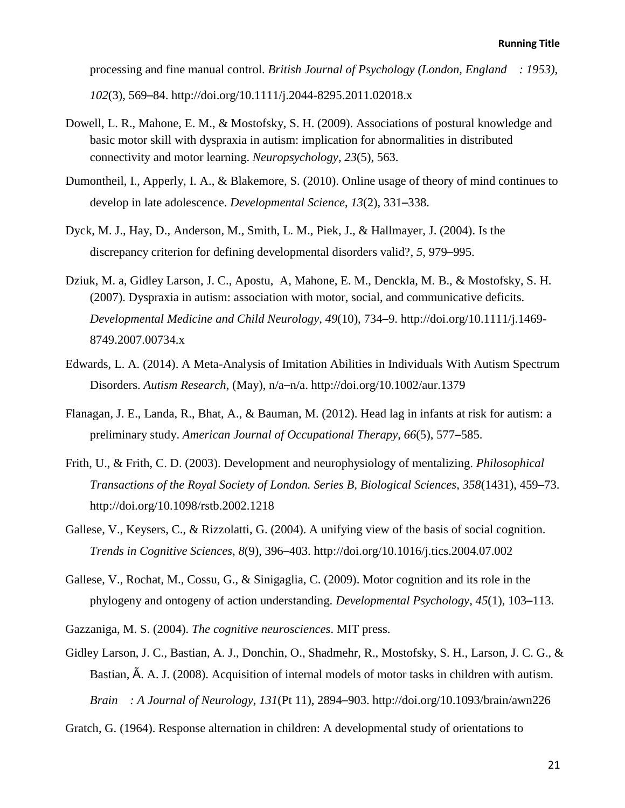processing and fine manual control. *British Journal of Psychology (London, England : 1953)*, *102*(3), 569–84. http://doi.org/10.1111/j.2044-8295.2011.02018.x

- Dowell, L. R., Mahone, E. M., & Mostofsky, S. H. (2009). Associations of postural knowledge and basic motor skill with dyspraxia in autism: implication for abnormalities in distributed connectivity and motor learning. *Neuropsychology*, *23*(5), 563.
- Dumontheil, I., Apperly, I. A., & Blakemore, S. (2010). Online usage of theory of mind continues to develop in late adolescence. *Developmental Science*, *13*(2), 331–338.
- Dyck, M. J., Hay, D., Anderson, M., Smith, L. M., Piek, J., & Hallmayer, J. (2004). Is the discrepancy criterion for defining developmental disorders valid?, *5*, 979–995.
- Dziuk, M. a, Gidley Larson, J. C., Apostu, A, Mahone, E. M., Denckla, M. B., & Mostofsky, S. H. (2007). Dyspraxia in autism: association with motor, social, and communicative deficits. *Developmental Medicine and Child Neurology*, *49*(10), 734–9. http://doi.org/10.1111/j.1469- 8749.2007.00734.x
- Edwards, L. A. (2014). A Meta-Analysis of Imitation Abilities in Individuals With Autism Spectrum Disorders. *Autism Research*, (May), n/a–n/a. http://doi.org/10.1002/aur.1379
- Flanagan, J. E., Landa, R., Bhat, A., & Bauman, M. (2012). Head lag in infants at risk for autism: a preliminary study. *American Journal of Occupational Therapy*, *66*(5), 577–585.
- Frith, U., & Frith, C. D. (2003). Development and neurophysiology of mentalizing. *Philosophical Transactions of the Royal Society of London. Series B, Biological Sciences*, *358*(1431), 459–73. http://doi.org/10.1098/rstb.2002.1218
- Gallese, V., Keysers, C., & Rizzolatti, G. (2004). A unifying view of the basis of social cognition. *Trends in Cognitive Sciences*, *8*(9), 396–403. http://doi.org/10.1016/j.tics.2004.07.002
- Gallese, V., Rochat, M., Cossu, G., & Sinigaglia, C. (2009). Motor cognition and its role in the phylogeny and ontogeny of action understanding. *Developmental Psychology*, *45*(1), 103–113.

Gazzaniga, M. S. (2004). *The cognitive neurosciences*. MIT press.

Gidley Larson, J. C., Bastian, A. J., Donchin, O., Shadmehr, R., Mostofsky, S. H., Larson, J. C. G., & Bastian, Ã. A. J. (2008). Acquisition of internal models of motor tasks in children with autism. *Brain : A Journal of Neurology*, *131*(Pt 11), 2894–903. http://doi.org/10.1093/brain/awn226

Gratch, G. (1964). Response alternation in children: A developmental study of orientations to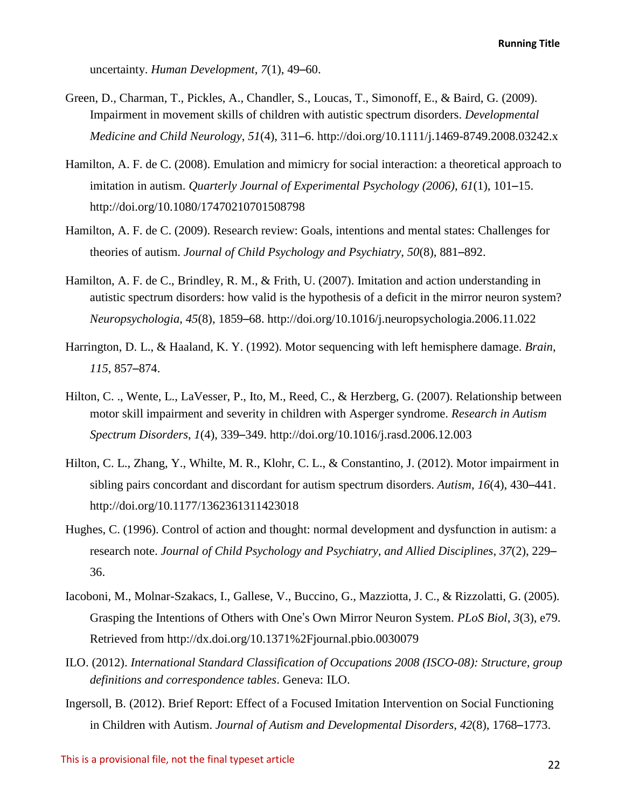uncertainty. *Human Development*, *7*(1), 49–60.

- Green, D., Charman, T., Pickles, A., Chandler, S., Loucas, T., Simonoff, E., & Baird, G. (2009). Impairment in movement skills of children with autistic spectrum disorders. *Developmental Medicine and Child Neurology*, *51*(4), 311–6. http://doi.org/10.1111/j.1469-8749.2008.03242.x
- Hamilton, A. F. de C. (2008). Emulation and mimicry for social interaction: a theoretical approach to imitation in autism. *Quarterly Journal of Experimental Psychology (2006)*, *61*(1), 101–15. http://doi.org/10.1080/17470210701508798
- Hamilton, A. F. de C. (2009). Research review: Goals, intentions and mental states: Challenges for theories of autism. *Journal of Child Psychology and Psychiatry*, *50*(8), 881–892.
- Hamilton, A. F. de C., Brindley, R. M., & Frith, U. (2007). Imitation and action understanding in autistic spectrum disorders: how valid is the hypothesis of a deficit in the mirror neuron system? *Neuropsychologia*, *45*(8), 1859–68. http://doi.org/10.1016/j.neuropsychologia.2006.11.022
- Harrington, D. L., & Haaland, K. Y. (1992). Motor sequencing with left hemisphere damage. *Brain*, *115*, 857–874.
- Hilton, C. ., Wente, L., LaVesser, P., Ito, M., Reed, C., & Herzberg, G. (2007). Relationship between motor skill impairment and severity in children with Asperger syndrome. *Research in Autism Spectrum Disorders*, *1*(4), 339–349. http://doi.org/10.1016/j.rasd.2006.12.003
- Hilton, C. L., Zhang, Y., Whilte, M. R., Klohr, C. L., & Constantino, J. (2012). Motor impairment in sibling pairs concordant and discordant for autism spectrum disorders. *Autism*, *16*(4), 430–441. http://doi.org/10.1177/1362361311423018
- Hughes, C. (1996). Control of action and thought: normal development and dysfunction in autism: a research note. *Journal of Child Psychology and Psychiatry, and Allied Disciplines*, *37*(2), 229– 36.
- Iacoboni, M., Molnar-Szakacs, I., Gallese, V., Buccino, G., Mazziotta, J. C., & Rizzolatti, G. (2005). Grasping the Intentions of Others with One's Own Mirror Neuron System. *PLoS Biol*, *3*(3), e79. Retrieved from http://dx.doi.org/10.1371%2Fjournal.pbio.0030079
- ILO. (2012). *International Standard Classification of Occupations 2008 (ISCO-08): Structure, group definitions and correspondence tables*. Geneva: ILO.
- Ingersoll, B. (2012). Brief Report: Effect of a Focused Imitation Intervention on Social Functioning in Children with Autism. *Journal of Autism and Developmental Disorders*, *42*(8), 1768–1773.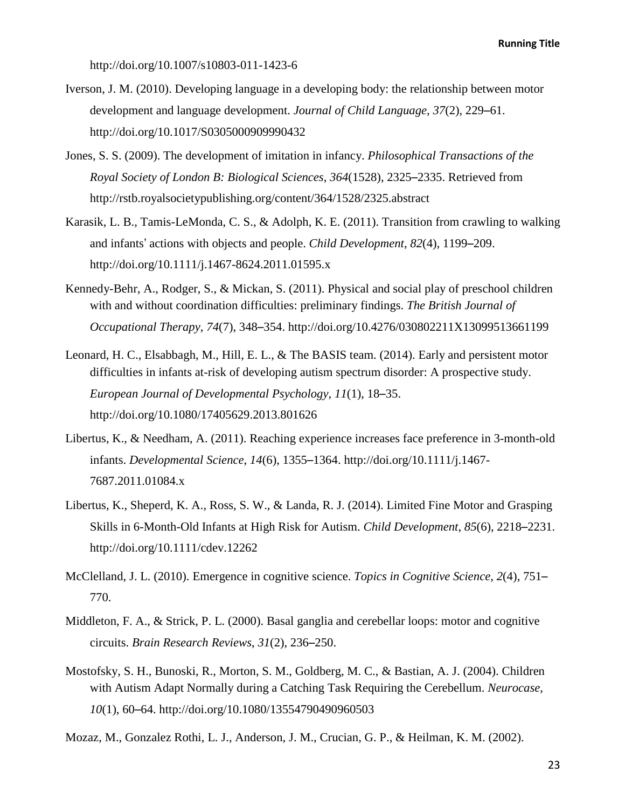http://doi.org/10.1007/s10803-011-1423-6

- Iverson, J. M. (2010). Developing language in a developing body: the relationship between motor development and language development. *Journal of Child Language*, *37*(2), 229–61. http://doi.org/10.1017/S0305000909990432
- Jones, S. S. (2009). The development of imitation in infancy. *Philosophical Transactions of the Royal Society of London B: Biological Sciences*, *364*(1528), 2325–2335. Retrieved from http://rstb.royalsocietypublishing.org/content/364/1528/2325.abstract
- Karasik, L. B., Tamis-LeMonda, C. S., & Adolph, K. E. (2011). Transition from crawling to walking and infants' actions with objects and people. *Child Development*, *82*(4), 1199–209. http://doi.org/10.1111/j.1467-8624.2011.01595.x
- Kennedy-Behr, A., Rodger, S., & Mickan, S. (2011). Physical and social play of preschool children with and without coordination difficulties: preliminary findings. *The British Journal of Occupational Therapy*, *74*(7), 348–354. http://doi.org/10.4276/030802211X13099513661199
- Leonard, H. C., Elsabbagh, M., Hill, E. L., & The BASIS team. (2014). Early and persistent motor difficulties in infants at-risk of developing autism spectrum disorder: A prospective study. *European Journal of Developmental Psychology*, *11*(1), 18–35. http://doi.org/10.1080/17405629.2013.801626
- Libertus, K., & Needham, A. (2011). Reaching experience increases face preference in 3-month-old infants. *Developmental Science*, *14*(6), 1355–1364. http://doi.org/10.1111/j.1467- 7687.2011.01084.x
- Libertus, K., Sheperd, K. A., Ross, S. W., & Landa, R. J. (2014). Limited Fine Motor and Grasping Skills in 6-Month-Old Infants at High Risk for Autism. *Child Development*, *85*(6), 2218–2231. http://doi.org/10.1111/cdev.12262
- McClelland, J. L. (2010). Emergence in cognitive science. *Topics in Cognitive Science*, *2*(4), 751– 770.
- Middleton, F. A., & Strick, P. L. (2000). Basal ganglia and cerebellar loops: motor and cognitive circuits. *Brain Research Reviews*, *31*(2), 236–250.
- Mostofsky, S. H., Bunoski, R., Morton, S. M., Goldberg, M. C., & Bastian, A. J. (2004). Children with Autism Adapt Normally during a Catching Task Requiring the Cerebellum. *Neurocase*, *10*(1), 60–64. http://doi.org/10.1080/13554790490960503

Mozaz, M., Gonzalez Rothi, L. J., Anderson, J. M., Crucian, G. P., & Heilman, K. M. (2002).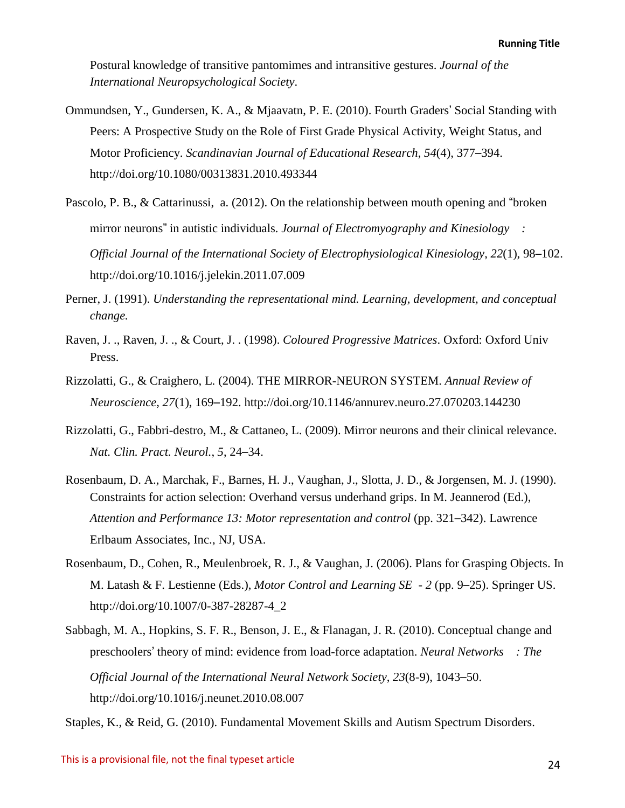Postural knowledge of transitive pantomimes and intransitive gestures. *Journal of the International Neuropsychological Society*.

- Ommundsen, Y., Gundersen, K. A., & Mjaavatn, P. E. (2010). Fourth Graders' Social Standing with Peers: A Prospective Study on the Role of First Grade Physical Activity, Weight Status, and Motor Proficiency. *Scandinavian Journal of Educational Research*, *54*(4), 377–394. http://doi.org/10.1080/00313831.2010.493344
- Pascolo, P. B., & Cattarinussi, a. (2012). On the relationship between mouth opening and "broken mirror neurons" in autistic individuals. *Journal of Electromyography and Kinesiology : Official Journal of the International Society of Electrophysiological Kinesiology*, *22*(1), 98–102. http://doi.org/10.1016/j.jelekin.2011.07.009
- Perner, J. (1991). *Understanding the representational mind. Learning, development, and conceptual change.*
- Raven, J. ., Raven, J. ., & Court, J. . (1998). *Coloured Progressive Matrices*. Oxford: Oxford Univ Press.
- Rizzolatti, G., & Craighero, L. (2004). THE MIRROR-NEURON SYSTEM. *Annual Review of Neuroscience*, *27*(1), 169–192. http://doi.org/10.1146/annurev.neuro.27.070203.144230
- Rizzolatti, G., Fabbri-destro, M., & Cattaneo, L. (2009). Mirror neurons and their clinical relevance. *Nat. Clin. Pract. Neurol.*, *5*, 24–34.
- Rosenbaum, D. A., Marchak, F., Barnes, H. J., Vaughan, J., Slotta, J. D., & Jorgensen, M. J. (1990). Constraints for action selection: Overhand versus underhand grips. In M. Jeannerod (Ed.), *Attention and Performance 13: Motor representation and control* (pp. 321–342). Lawrence Erlbaum Associates, Inc., NJ, USA.
- Rosenbaum, D., Cohen, R., Meulenbroek, R. J., & Vaughan, J. (2006). Plans for Grasping Objects. In M. Latash & F. Lestienne (Eds.), *Motor Control and Learning SE - 2* (pp. 9–25). Springer US. http://doi.org/10.1007/0-387-28287-4\_2
- Sabbagh, M. A., Hopkins, S. F. R., Benson, J. E., & Flanagan, J. R. (2010). Conceptual change and preschoolers' theory of mind: evidence from load-force adaptation. *Neural Networks : The Official Journal of the International Neural Network Society*, *23*(8-9), 1043–50. http://doi.org/10.1016/j.neunet.2010.08.007

Staples, K., & Reid, G. (2010). Fundamental Movement Skills and Autism Spectrum Disorders.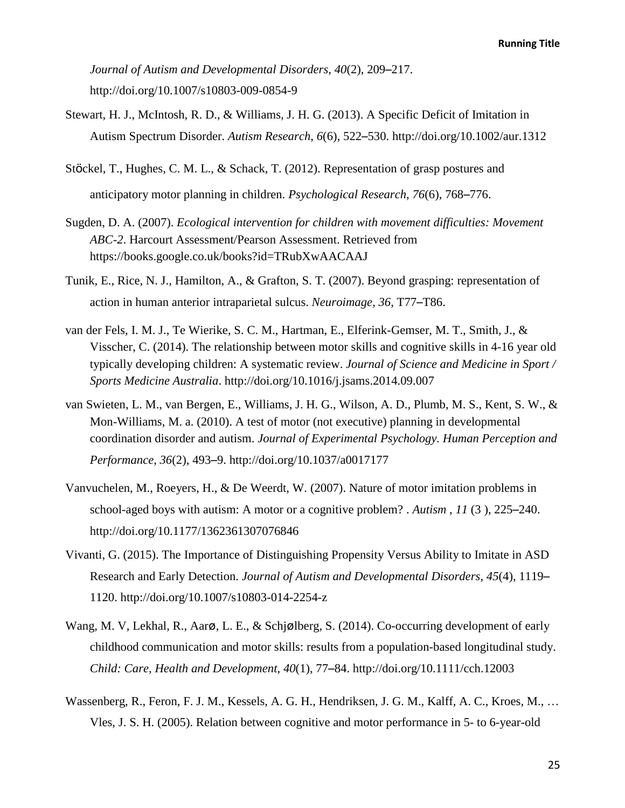*Journal of Autism and Developmental Disorders*, *40*(2), 209–217. http://doi.org/10.1007/s10803-009-0854-9

- Stewart, H. J., McIntosh, R. D., & Williams, J. H. G. (2013). A Specific Deficit of Imitation in Autism Spectrum Disorder. *Autism Research*, *6*(6), 522–530. http://doi.org/10.1002/aur.1312
- Stöckel, T., Hughes, C. M. L., & Schack, T. (2012). Representation of grasp postures and anticipatory motor planning in children. *Psychological Research*, *76*(6), 768–776.
- Sugden, D. A. (2007). *Ecological intervention for children with movement difficulties: Movement ABC-2*. Harcourt Assessment/Pearson Assessment. Retrieved from https://books.google.co.uk/books?id=TRubXwAACAAJ
- Tunik, E., Rice, N. J., Hamilton, A., & Grafton, S. T. (2007). Beyond grasping: representation of action in human anterior intraparietal sulcus. *Neuroimage*, *36*, T77–T86.
- van der Fels, I. M. J., Te Wierike, S. C. M., Hartman, E., Elferink-Gemser, M. T., Smith, J., & Visscher, C. (2014). The relationship between motor skills and cognitive skills in 4-16 year old typically developing children: A systematic review. *Journal of Science and Medicine in Sport / Sports Medicine Australia*. http://doi.org/10.1016/j.jsams.2014.09.007
- van Swieten, L. M., van Bergen, E., Williams, J. H. G., Wilson, A. D., Plumb, M. S., Kent, S. W., & Mon-Williams, M. a. (2010). A test of motor (not executive) planning in developmental coordination disorder and autism. *Journal of Experimental Psychology. Human Perception and Performance*, *36*(2), 493–9. http://doi.org/10.1037/a0017177
- Vanvuchelen, M., Roeyers, H., & De Weerdt, W. (2007). Nature of motor imitation problems in school-aged boys with autism: A motor or a cognitive problem? . *Autism* , *11* (3 ), 225–240. http://doi.org/10.1177/1362361307076846
- Vivanti, G. (2015). The Importance of Distinguishing Propensity Versus Ability to Imitate in ASD Research and Early Detection. *Journal of Autism and Developmental Disorders*, *45*(4), 1119– 1120. http://doi.org/10.1007/s10803-014-2254-z
- Wang, M. V, Lekhal, R., Aarø, L. E., & Schjølberg, S. (2014). Co-occurring development of early childhood communication and motor skills: results from a population-based longitudinal study. *Child: Care, Health and Development*, *40*(1), 77–84. http://doi.org/10.1111/cch.12003
- Wassenberg, R., Feron, F. J. M., Kessels, A. G. H., Hendriksen, J. G. M., Kalff, A. C., Kroes, M., … Vles, J. S. H. (2005). Relation between cognitive and motor performance in 5- to 6-year-old